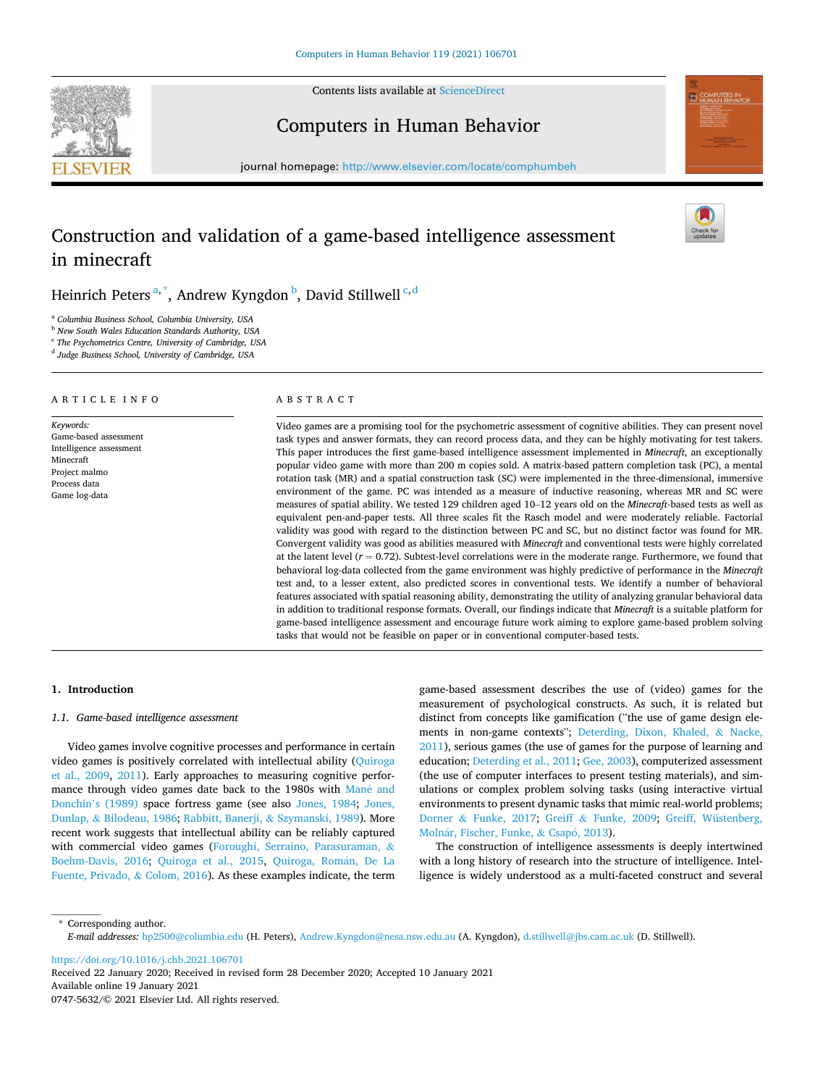Contents lists available at [ScienceDirect](www.sciencedirect.com/science/journal/07475632)





Computers in Human Behavior

journal homepage: [http://www.elsevier.com/locate/comphumbeh](https://http://www.elsevier.com/locate/comphumbeh) 

# Construction and validation of a game-based intelligence assessment in minecraft

Heinrich Peters $^{\mathrm{a},\mathrm{*}}$ , Andrew Kyngdon $^{\mathrm{b}}$ , David Stillwell $^{\mathrm{c},\mathrm{d}}$ 

<sup>a</sup> *Columbia Business School, Columbia University, USA* 

<sup>b</sup> *New South Wales Education Standards Authority, USA* 

c *The Psychometrics Centre, University of Cambridge, USA* 

d *Judge Business School, University of Cambridge, USA* 

# A R T I C L E I N F O

*Keywords:*  Game-based assessment Intelligence assessment Minecraft Project malmo Process data Game log-data

## ABSTRACT

Video games are a promising tool for the psychometric assessment of cognitive abilities. They can present novel task types and answer formats, they can record process data, and they can be highly motivating for test takers. This paper introduces the first game-based intelligence assessment implemented in *Minecraft*, an exceptionally popular video game with more than 200 m copies sold. A matrix-based pattern completion task (PC), a mental rotation task (MR) and a spatial construction task (SC) were implemented in the three-dimensional, immersive environment of the game. PC was intended as a measure of inductive reasoning, whereas MR and SC were measures of spatial ability. We tested 129 children aged 10–12 years old on the *Minecraft*-based tests as well as equivalent pen-and-paper tests. All three scales fit the Rasch model and were moderately reliable. Factorial validity was good with regard to the distinction between PC and SC, but no distinct factor was found for MR. Convergent validity was good as abilities measured with *Minecraft* and conventional tests were highly correlated at the latent level  $(r = 0.72)$ . Subtest-level correlations were in the moderate range. Furthermore, we found that behavioral log-data collected from the game environment was highly predictive of performance in the *Minecraft*  test and, to a lesser extent, also predicted scores in conventional tests. We identify a number of behavioral features associated with spatial reasoning ability, demonstrating the utility of analyzing granular behavioral data in addition to traditional response formats. Overall, our findings indicate that *Minecraft* is a suitable platform for game-based intelligence assessment and encourage future work aiming to explore game-based problem solving tasks that would not be feasible on paper or in conventional computer-based tests.

#### **1. Introduction**

#### *1.1. Game-based intelligence assessment*

Video games involve cognitive processes and performance in certain video games is positively correlated with intellectual ability [\(Quiroga](#page-12-0)  [et al., 2009](#page-12-0), [2011\)](#page-12-0). Early approaches to measuring cognitive performance through video games date back to the 1980s with Mané and Donchin'[s \(1989\)](#page-12-0) space fortress game (see also [Jones, 1984;](#page-11-0) [Jones,](#page-12-0)  Dunlap, & [Bilodeau, 1986; Rabbitt, Banerji,](#page-12-0) & Szymanski, 1989). More recent work suggests that intellectual ability can be reliably captured with commercial video games ([Foroughi, Serraino, Parasuraman,](#page-11-0) & [Boehm-Davis, 2016;](#page-11-0) [Quiroga et al., 2015,](#page-12-0) [Quiroga, Rom](#page-12-0)án, De La [Fuente, Privado,](#page-12-0) & Colom, 2016). As these examples indicate, the term game-based assessment describes the use of (video) games for the measurement of psychological constructs. As such, it is related but distinct from concepts like gamification ("the use of game design elements in non-game contexts"; [Deterding, Dixon, Khaled,](#page-11-0) & Nacke, [2011\)](#page-11-0), serious games (the use of games for the purpose of learning and education; [Deterding et al., 2011; Gee, 2003\)](#page-11-0), computerized assessment (the use of computer interfaces to present testing materials), and simulations or complex problem solving tasks (using interactive virtual environments to present dynamic tasks that mimic real-world problems; Dorner & [Funke, 2017](#page-11-0); Greiff & [Funke, 2009](#page-11-0); [Greiff, Wüstenberg,](#page-11-0)  Molnár, Fischer, Funke, & Csapó, 2013).

The construction of intelligence assessments is deeply intertwined with a long history of research into the structure of intelligence. Intelligence is widely understood as a multi-faceted construct and several

\* Corresponding author. *E-mail addresses:* [hp2500@columbia.edu](mailto:hp2500@columbia.edu) (H. Peters), [Andrew.Kyngdon@nesa.nsw.edu.au](mailto:Andrew.Kyngdon@nesa.nsw.edu.au) (A. Kyngdon), [d.stillwell@jbs.cam.ac.uk](mailto:d.stillwell@jbs.cam.ac.uk) (D. Stillwell).

<https://doi.org/10.1016/j.chb.2021.106701>

Available online 19 January 2021 0747-5632/© 2021 Elsevier Ltd. All rights reserved. Received 22 January 2020; Received in revised form 28 December 2020; Accepted 10 January 2021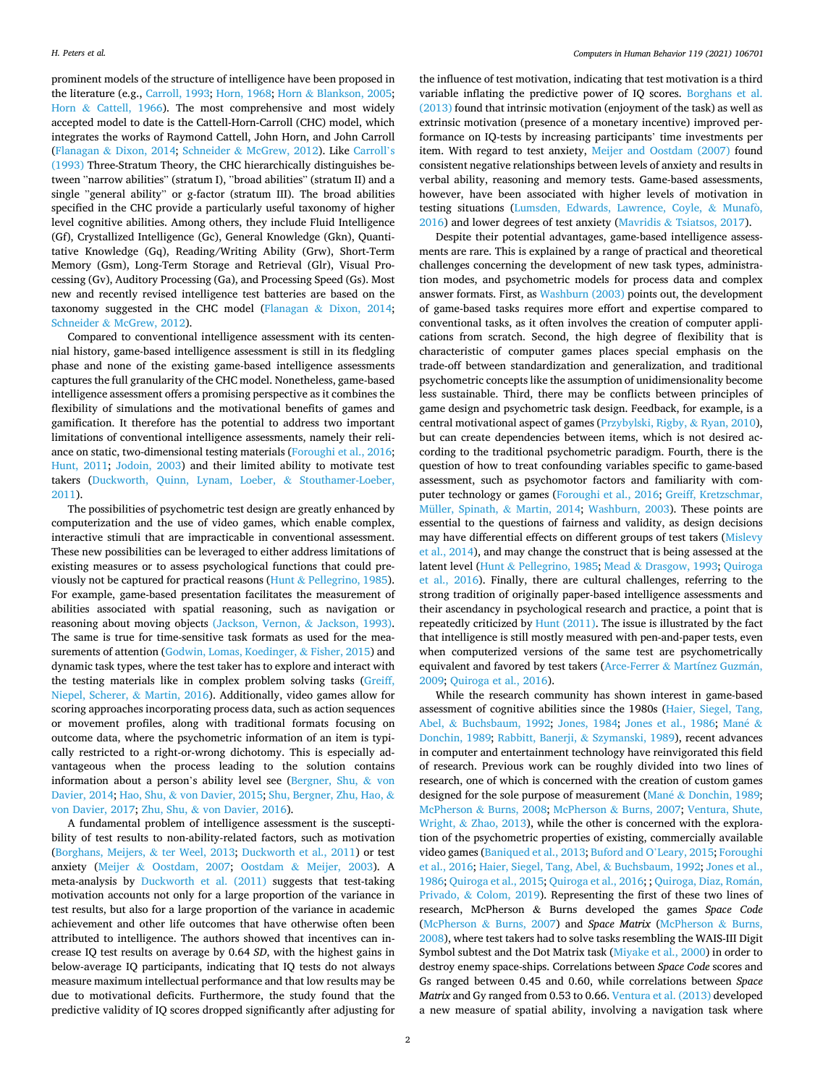prominent models of the structure of intelligence have been proposed in the literature (e.g., [Carroll, 1993](#page-11-0); [Horn, 1968](#page-11-0); Horn & [Blankson, 2005](#page-11-0); Horn & [Cattell, 1966\)](#page-11-0). The most comprehensive and most widely accepted model to date is the Cattell-Horn-Carroll (CHC) model, which integrates the works of Raymond Cattell, John Horn, and John Carroll (Flanagan & [Dixon, 2014](#page-11-0); Schneider & [McGrew, 2012\)](#page-12-0). Like [Carroll](#page-11-0)'s [\(1993\)](#page-11-0) Three-Stratum Theory, the CHC hierarchically distinguishes between "narrow abilities" (stratum I), "broad abilities" (stratum II) and a single "general ability" or g-factor (stratum III). The broad abilities specified in the CHC provide a particularly useful taxonomy of higher level cognitive abilities. Among others, they include Fluid Intelligence (Gf), Crystallized Intelligence (Gc), General Knowledge (Gkn), Quantitative Knowledge (Gq), Reading/Writing Ability (Grw), Short-Term Memory (Gsm), Long-Term Storage and Retrieval (Glr), Visual Processing (Gv), Auditory Processing (Ga), and Processing Speed (Gs). Most new and recently revised intelligence test batteries are based on the taxonomy suggested in the CHC model (Flanagan & [Dixon, 2014](#page-11-0); Schneider & [McGrew, 2012](#page-12-0)).

Compared to conventional intelligence assessment with its centennial history, game-based intelligence assessment is still in its fledgling phase and none of the existing game-based intelligence assessments captures the full granularity of the CHC model. Nonetheless, game-based intelligence assessment offers a promising perspective as it combines the flexibility of simulations and the motivational benefits of games and gamification. It therefore has the potential to address two important limitations of conventional intelligence assessments, namely their reliance on static, two-dimensional testing materials [\(Foroughi et al., 2016](#page-11-0); [Hunt, 2011](#page-11-0); [Jodoin, 2003\)](#page-11-0) and their limited ability to motivate test takers [\(Duckworth, Quinn, Lynam, Loeber,](#page-11-0) & Stouthamer-Loeber, [2011\)](#page-11-0).

The possibilities of psychometric test design are greatly enhanced by computerization and the use of video games, which enable complex, interactive stimuli that are impracticable in conventional assessment. These new possibilities can be leveraged to either address limitations of existing measures or to assess psychological functions that could previously not be captured for practical reasons (Hunt & [Pellegrino, 1985](#page-11-0)). For example, game-based presentation facilitates the measurement of abilities associated with spatial reasoning, such as navigation or reasoning about moving objects [\(Jackson, Vernon,](#page-11-0) & Jackson, 1993). The same is true for time-sensitive task formats as used for the measurements of attention ([Godwin, Lomas, Koedinger,](#page-11-0) & Fisher, 2015) and dynamic task types, where the test taker has to explore and interact with the testing materials like in complex problem solving tasks [\(Greiff,](#page-11-0)  [Niepel, Scherer,](#page-11-0) & Martin, 2016). Additionally, video games allow for scoring approaches incorporating process data, such as action sequences or movement profiles, along with traditional formats focusing on outcome data, where the psychometric information of an item is typically restricted to a right-or-wrong dichotomy. This is especially advantageous when the process leading to the solution contains information about a person's ability level see ([Bergner, Shu,](#page-11-0) & von [Davier, 2014](#page-11-0); Hao, Shu, & [von Davier, 2015](#page-11-0); [Shu, Bergner, Zhu, Hao,](#page-12-0) & [von Davier, 2017;](#page-12-0) Zhu, Shu, & [von Davier, 2016\)](#page-12-0).

A fundamental problem of intelligence assessment is the susceptibility of test results to non-ability-related factors, such as motivation ([Borghans, Meijers,](#page-11-0) & ter Weel, 2013; [Duckworth et al., 2011\)](#page-11-0) or test anxiety (Meijer & [Oostdam, 2007](#page-12-0); Oostdam & [Meijer, 2003\)](#page-12-0). A meta-analysis by [Duckworth et al. \(2011\)](#page-11-0) suggests that test-taking motivation accounts not only for a large proportion of the variance in test results, but also for a large proportion of the variance in academic achievement and other life outcomes that have otherwise often been attributed to intelligence. The authors showed that incentives can increase IQ test results on average by 0.64 *SD*, with the highest gains in below-average IQ participants, indicating that IQ tests do not always measure maximum intellectual performance and that low results may be due to motivational deficits. Furthermore, the study found that the predictive validity of IQ scores dropped significantly after adjusting for

the influence of test motivation, indicating that test motivation is a third variable inflating the predictive power of IQ scores. [Borghans et al.](#page-11-0)  [\(2013\)](#page-11-0) found that intrinsic motivation (enjoyment of the task) as well as extrinsic motivation (presence of a monetary incentive) improved performance on IQ-tests by increasing participants' time investments per item. With regard to test anxiety, [Meijer and Oostdam \(2007\)](#page-12-0) found consistent negative relationships between levels of anxiety and results in verbal ability, reasoning and memory tests. Game-based assessments, however, have been associated with higher levels of motivation in testing situations [\(Lumsden, Edwards, Lawrence, Coyle,](#page-12-0) & Munafò, [2016\)](#page-12-0) and lower degrees of test anxiety (Mavridis & [Tsiatsos, 2017\)](#page-12-0).

Despite their potential advantages, game-based intelligence assessments are rare. This is explained by a range of practical and theoretical challenges concerning the development of new task types, administration modes, and psychometric models for process data and complex answer formats. First, as [Washburn \(2003\)](#page-12-0) points out, the development of game-based tasks requires more effort and expertise compared to conventional tasks, as it often involves the creation of computer applications from scratch. Second, the high degree of flexibility that is characteristic of computer games places special emphasis on the trade-off between standardization and generalization, and traditional psychometric concepts like the assumption of unidimensionality become less sustainable. Third, there may be conflicts between principles of game design and psychometric task design. Feedback, for example, is a central motivational aspect of games [\(Przybylski, Rigby,](#page-12-0) & Ryan, 2010), but can create dependencies between items, which is not desired according to the traditional psychometric paradigm. Fourth, there is the question of how to treat confounding variables specific to game-based assessment, such as psychomotor factors and familiarity with computer technology or games ([Foroughi et al., 2016;](#page-11-0) [Greiff, Kretzschmar,](#page-11-0)  [Müller, Spinath,](#page-11-0) & Martin, 2014; [Washburn, 2003](#page-12-0)). These points are essential to the questions of fairness and validity, as design decisions may have differential effects on different groups of test takers [\(Mislevy](#page-12-0)  [et al., 2014](#page-12-0)), and may change the construct that is being assessed at the latent level (Hunt & [Pellegrino, 1985](#page-11-0); Mead & [Drasgow, 1993; Quiroga](#page-12-0)  [et al., 2016\)](#page-12-0). Finally, there are cultural challenges, referring to the strong tradition of originally paper-based intelligence assessments and their ascendancy in psychological research and practice, a point that is repeatedly criticized by [Hunt \(2011\)](#page-11-0). The issue is illustrated by the fact that intelligence is still mostly measured with pen-and-paper tests, even when computerized versions of the same test are psychometrically equivalent and favored by test takers (Arce-Ferrer & Martínez Guzmán, [2009;](#page-11-0) [Quiroga et al., 2016](#page-12-0)).

While the research community has shown interest in game-based assessment of cognitive abilities since the 1980s ([Haier, Siegel, Tang,](#page-11-0)  Abel, & [Buchsbaum, 1992](#page-11-0); [Jones, 1984](#page-11-0); [Jones et al., 1986;](#page-12-0) [Man](#page-12-0)é & [Donchin, 1989](#page-12-0); [Rabbitt, Banerji,](#page-12-0) & Szymanski, 1989), recent advances in computer and entertainment technology have reinvigorated this field of research. Previous work can be roughly divided into two lines of research, one of which is concerned with the creation of custom games designed for the sole purpose of measurement (Mané & [Donchin, 1989](#page-12-0); McPherson & [Burns, 2008;](#page-12-0) McPherson & [Burns, 2007;](#page-12-0) [Ventura, Shute,](#page-12-0)  Wright, & [Zhao, 2013\)](#page-12-0), while the other is concerned with the exploration of the psychometric properties of existing, commercially available video games [\(Baniqued et al., 2013; Buford and O](#page-11-0)'Leary, 2015; [Foroughi](#page-11-0)  [et al., 2016](#page-11-0); [Haier, Siegel, Tang, Abel,](#page-11-0) & Buchsbaum, 1992; [Jones et al.,](#page-12-0)  [1986; Quiroga et al., 2015; Quiroga et al., 2016;](#page-12-0) ; Quiroga, Diaz, Román, Privado, & [Colom, 2019\)](#page-12-0). Representing the first of these two lines of research, McPherson & Burns developed the games *Space Code*  (McPherson & [Burns, 2007](#page-12-0)) and *Space Matrix* ([McPherson](#page-12-0) & Burns, [2008\)](#page-12-0), where test takers had to solve tasks resembling the WAIS-III Digit Symbol subtest and the Dot Matrix task ([Miyake et al., 2000\)](#page-12-0) in order to destroy enemy space-ships. Correlations between *Space Code* scores and Gs ranged between 0.45 and 0.60, while correlations between *Space Matrix* and Gy ranged from 0.53 to 0.66. [Ventura et al. \(2013\)](#page-12-0) developed a new measure of spatial ability, involving a navigation task where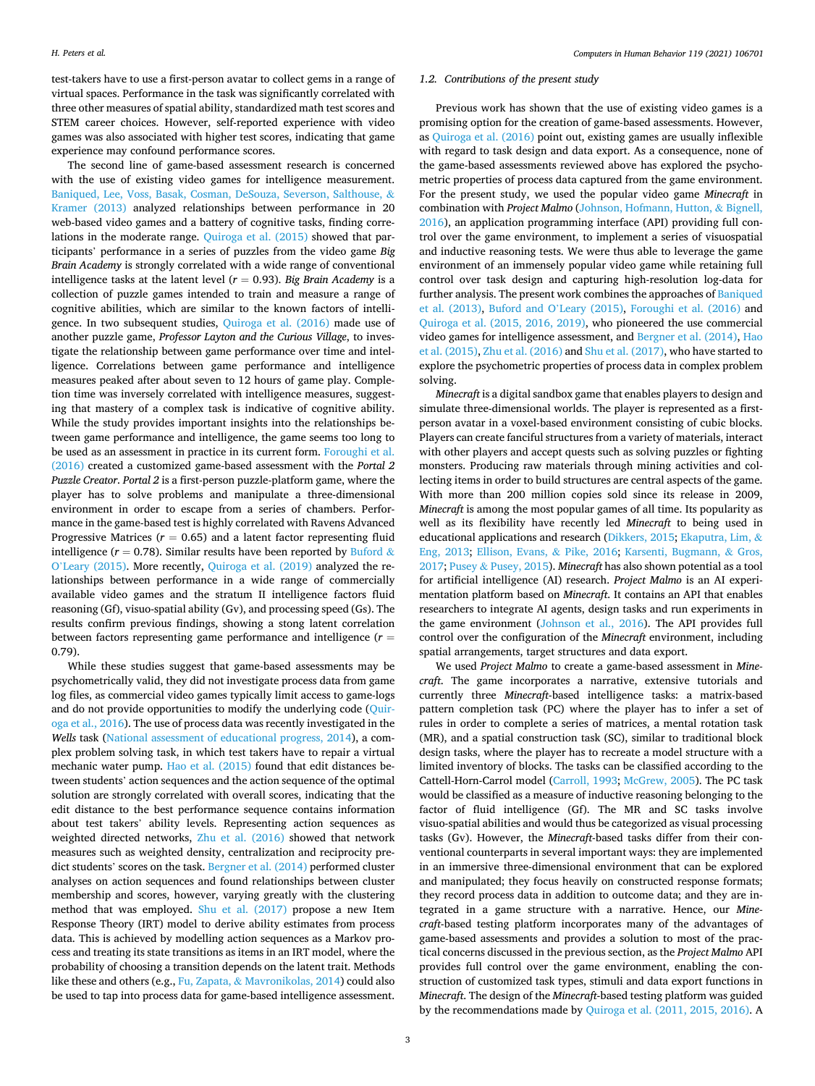test-takers have to use a first-person avatar to collect gems in a range of virtual spaces. Performance in the task was significantly correlated with three other measures of spatial ability, standardized math test scores and STEM career choices. However, self-reported experience with video games was also associated with higher test scores, indicating that game experience may confound performance scores.

The second line of game-based assessment research is concerned with the use of existing video games for intelligence measurement. [Baniqued, Lee, Voss, Basak, Cosman, DeSouza, Severson, Salthouse,](#page-11-0) & [Kramer \(2013\)](#page-11-0) analyzed relationships between performance in 20 web-based video games and a battery of cognitive tasks, finding correlations in the moderate range. [Quiroga et al. \(2015\)](#page-12-0) showed that participants' performance in a series of puzzles from the video game *Big Brain Academy* is strongly correlated with a wide range of conventional intelligence tasks at the latent level  $(r = 0.93)$ . *Big Brain Academy* is a collection of puzzle games intended to train and measure a range of cognitive abilities, which are similar to the known factors of intelligence. In two subsequent studies, [Quiroga et al. \(2016\)](#page-12-0) made use of another puzzle game, *Professor Layton and the Curious Village*, to investigate the relationship between game performance over time and intelligence. Correlations between game performance and intelligence measures peaked after about seven to 12 hours of game play. Completion time was inversely correlated with intelligence measures, suggesting that mastery of a complex task is indicative of cognitive ability. While the study provides important insights into the relationships between game performance and intelligence, the game seems too long to be used as an assessment in practice in its current form. [Foroughi et al.](#page-11-0)  [\(2016\)](#page-11-0) created a customized game-based assessment with the *Portal 2 Puzzle Creator*. *Portal 2* is a first-person puzzle-platform game, where the player has to solve problems and manipulate a three-dimensional environment in order to escape from a series of chambers. Performance in the game-based test is highly correlated with Ravens Advanced Progressive Matrices ( $r = 0.65$ ) and a latent factor representing fluid intelligence ( $r = 0.78$ ). Similar results have been reported by [Buford](#page-11-0) & O'[Leary \(2015\)](#page-11-0). More recently, [Quiroga et al. \(2019\)](#page-12-0) analyzed the relationships between performance in a wide range of commercially available video games and the stratum II intelligence factors fluid reasoning (Gf), visuo-spatial ability (Gv), and processing speed (Gs). The results confirm previous findings, showing a stong latent correlation between factors representing game performance and intelligence (*r* = 0.79).

While these studies suggest that game-based assessments may be psychometrically valid, they did not investigate process data from game log files, as commercial video games typically limit access to game-logs and do not provide opportunities to modify the underlying code [\(Quir](#page-12-0)[oga et al., 2016\)](#page-12-0). The use of process data was recently investigated in the *Wells* task ([National assessment of educational progress, 2014\)](#page-12-0), a complex problem solving task, in which test takers have to repair a virtual mechanic water pump. [Hao et al. \(2015\)](#page-11-0) found that edit distances between students' action sequences and the action sequence of the optimal solution are strongly correlated with overall scores, indicating that the edit distance to the best performance sequence contains information about test takers' ability levels. Representing action sequences as weighted directed networks, [Zhu et al. \(2016\)](#page-12-0) showed that network measures such as weighted density, centralization and reciprocity predict students' scores on the task. [Bergner et al. \(2014\)](#page-11-0) performed cluster analyses on action sequences and found relationships between cluster membership and scores, however, varying greatly with the clustering method that was employed. [Shu et al. \(2017\)](#page-12-0) propose a new Item Response Theory (IRT) model to derive ability estimates from process data. This is achieved by modelling action sequences as a Markov process and treating its state transitions as items in an IRT model, where the probability of choosing a transition depends on the latent trait. Methods like these and others (e.g., Fu, Zapata, & [Mavronikolas, 2014\)](#page-11-0) could also be used to tap into process data for game-based intelligence assessment.

## *1.2. Contributions of the present study*

Previous work has shown that the use of existing video games is a promising option for the creation of game-based assessments. However, as [Quiroga et al. \(2016\)](#page-12-0) point out, existing games are usually inflexible with regard to task design and data export. As a consequence, none of the game-based assessments reviewed above has explored the psychometric properties of process data captured from the game environment. For the present study, we used the popular video game *Minecraft* in combination with *Project Malmo* ([Johnson, Hofmann, Hutton,](#page-11-0) & Bignell, [2016\)](#page-11-0), an application programming interface (API) providing full control over the game environment, to implement a series of visuospatial and inductive reasoning tests. We were thus able to leverage the game environment of an immensely popular video game while retaining full control over task design and capturing high-resolution log-data for further analysis. The present work combines the approaches of [Baniqued](#page-11-0)  [et al. \(2013\)](#page-11-0), [Buford and O](#page-11-0)'Leary (2015), [Foroughi et al. \(2016\)](#page-11-0) and [Quiroga et al. \(2015, 2016, 2019\),](#page-12-0) who pioneered the use commercial video games for intelligence assessment, and [Bergner et al. \(2014\), Hao](#page-11-0)  [et al. \(2015\)](#page-11-0), [Zhu et al. \(2016\)](#page-12-0) and [Shu et al. \(2017\)](#page-12-0), who have started to explore the psychometric properties of process data in complex problem solving.

*Minecraft* is a digital sandbox game that enables players to design and simulate three-dimensional worlds. The player is represented as a firstperson avatar in a voxel-based environment consisting of cubic blocks. Players can create fanciful structures from a variety of materials, interact with other players and accept quests such as solving puzzles or fighting monsters. Producing raw materials through mining activities and collecting items in order to build structures are central aspects of the game. With more than 200 million copies sold since its release in 2009, *Minecraft* is among the most popular games of all time. Its popularity as well as its flexibility have recently led *Minecraft* to being used in educational applications and research [\(Dikkers, 2015](#page-11-0); [Ekaputra, Lim,](#page-11-0) & [Eng, 2013](#page-11-0); [Ellison, Evans,](#page-11-0) & Pike, 2016; [Karsenti, Bugmann,](#page-12-0) & Gros, [2017;](#page-12-0) Pusey & [Pusey, 2015](#page-12-0)). *Minecraft* has also shown potential as a tool for artificial intelligence (AI) research. *Project Malmo* is an AI experimentation platform based on *Minecraft*. It contains an API that enables researchers to integrate AI agents, design tasks and run experiments in the game environment [\(Johnson et al., 2016](#page-11-0)). The API provides full control over the configuration of the *Minecraft* environment, including spatial arrangements, target structures and data export.

We used *Project Malmo* to create a game-based assessment in *Minecraft*. The game incorporates a narrative, extensive tutorials and currently three *Minecraft*-based intelligence tasks: a matrix-based pattern completion task (PC) where the player has to infer a set of rules in order to complete a series of matrices, a mental rotation task (MR), and a spatial construction task (SC), similar to traditional block design tasks, where the player has to recreate a model structure with a limited inventory of blocks. The tasks can be classified according to the Cattell-Horn-Carrol model [\(Carroll, 1993](#page-11-0); [McGrew, 2005](#page-12-0)). The PC task would be classified as a measure of inductive reasoning belonging to the factor of fluid intelligence (Gf). The MR and SC tasks involve visuo-spatial abilities and would thus be categorized as visual processing tasks (Gv). However, the *Minecraft*-based tasks differ from their conventional counterparts in several important ways: they are implemented in an immersive three-dimensional environment that can be explored and manipulated; they focus heavily on constructed response formats; they record process data in addition to outcome data; and they are integrated in a game structure with a narrative. Hence, our *Minecraft*-based testing platform incorporates many of the advantages of game-based assessments and provides a solution to most of the practical concerns discussed in the previous section, as the *Project Malmo* API provides full control over the game environment, enabling the construction of customized task types, stimuli and data export functions in *Minecraft*. The design of the *Minecraft*-based testing platform was guided by the recommendations made by [Quiroga et al. \(2011, 2015, 2016\).](#page-12-0) A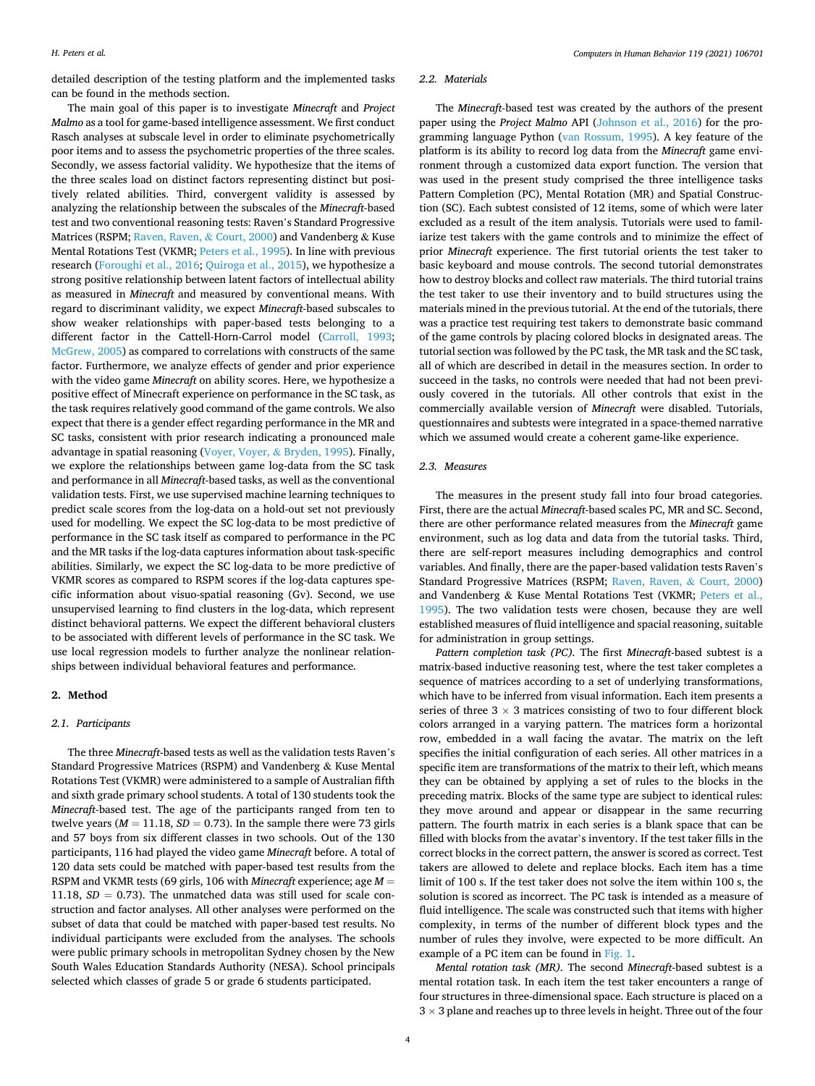detailed description of the testing platform and the implemented tasks can be found in the methods section.

The main goal of this paper is to investigate *Minecraft* and *Project Malmo* as a tool for game-based intelligence assessment. We first conduct Rasch analyses at subscale level in order to eliminate psychometrically poor items and to assess the psychometric properties of the three scales. Secondly, we assess factorial validity. We hypothesize that the items of the three scales load on distinct factors representing distinct but positively related abilities. Third, convergent validity is assessed by analyzing the relationship between the subscales of the *Minecraft*-based test and two conventional reasoning tests: Raven's Standard Progressive Matrices (RSPM; [Raven, Raven,](#page-12-0) & Court, 2000) and Vandenberg & Kuse Mental Rotations Test (VKMR; [Peters et al., 1995\)](#page-12-0). In line with previous research [\(Foroughi et al., 2016](#page-11-0); [Quiroga et al., 2015\)](#page-12-0), we hypothesize a strong positive relationship between latent factors of intellectual ability as measured in *Minecraft* and measured by conventional means. With regard to discriminant validity, we expect *Minecraft*-based subscales to show weaker relationships with paper-based tests belonging to a different factor in the Cattell-Horn-Carrol model ([Carroll, 1993](#page-11-0); [McGrew, 2005](#page-12-0)) as compared to correlations with constructs of the same factor. Furthermore, we analyze effects of gender and prior experience with the video game *Minecraft* on ability scores. Here, we hypothesize a positive effect of Minecraft experience on performance in the SC task, as the task requires relatively good command of the game controls. We also expect that there is a gender effect regarding performance in the MR and SC tasks, consistent with prior research indicating a pronounced male advantage in spatial reasoning [\(Voyer, Voyer,](#page-12-0) & Bryden, 1995). Finally, we explore the relationships between game log-data from the SC task and performance in all *Minecraft*-based tasks, as well as the conventional validation tests. First, we use supervised machine learning techniques to predict scale scores from the log-data on a hold-out set not previously used for modelling. We expect the SC log-data to be most predictive of performance in the SC task itself as compared to performance in the PC and the MR tasks if the log-data captures information about task-specific abilities. Similarly, we expect the SC log-data to be more predictive of VKMR scores as compared to RSPM scores if the log-data captures specific information about visuo-spatial reasoning (Gv). Second, we use unsupervised learning to find clusters in the log-data, which represent distinct behavioral patterns. We expect the different behavioral clusters to be associated with different levels of performance in the SC task. We use local regression models to further analyze the nonlinear relationships between individual behavioral features and performance.

# **2. Method**

# *2.1. Participants*

The three *Minecraft*-based tests as well as the validation tests Raven's Standard Progressive Matrices (RSPM) and Vandenberg & Kuse Mental Rotations Test (VKMR) were administered to a sample of Australian fifth and sixth grade primary school students. A total of 130 students took the *Minecraft*-based test. The age of the participants ranged from ten to twelve years ( $M = 11.18$ ,  $SD = 0.73$ ). In the sample there were 73 girls and 57 boys from six different classes in two schools. Out of the 130 participants, 116 had played the video game *Minecraft* before. A total of 120 data sets could be matched with paper-based test results from the RSPM and VKMR tests (69 girls, 106 with *Minecraft* experience; age *M* = 11.18,  $SD = 0.73$ ). The unmatched data was still used for scale construction and factor analyses. All other analyses were performed on the subset of data that could be matched with paper-based test results. No individual participants were excluded from the analyses. The schools were public primary schools in metropolitan Sydney chosen by the New South Wales Education Standards Authority (NESA). School principals selected which classes of grade 5 or grade 6 students participated.

#### *2.2. Materials*

The *Minecraft*-based test was created by the authors of the present paper using the *Project Malmo* API [\(Johnson et al., 2016](#page-11-0)) for the programming language Python [\(van Rossum, 1995](#page-12-0)). A key feature of the platform is its ability to record log data from the *Minecraft* game environment through a customized data export function. The version that was used in the present study comprised the three intelligence tasks Pattern Completion (PC), Mental Rotation (MR) and Spatial Construction (SC). Each subtest consisted of 12 items, some of which were later excluded as a result of the item analysis. Tutorials were used to familiarize test takers with the game controls and to minimize the effect of prior *Minecraft* experience. The first tutorial orients the test taker to basic keyboard and mouse controls. The second tutorial demonstrates how to destroy blocks and collect raw materials. The third tutorial trains the test taker to use their inventory and to build structures using the materials mined in the previous tutorial. At the end of the tutorials, there was a practice test requiring test takers to demonstrate basic command of the game controls by placing colored blocks in designated areas. The tutorial section was followed by the PC task, the MR task and the SC task, all of which are described in detail in the measures section. In order to succeed in the tasks, no controls were needed that had not been previously covered in the tutorials. All other controls that exist in the commercially available version of *Minecraft* were disabled. Tutorials, questionnaires and subtests were integrated in a space-themed narrative which we assumed would create a coherent game-like experience.

## *2.3. Measures*

The measures in the present study fall into four broad categories. First, there are the actual *Minecraft*-based scales PC, MR and SC. Second, there are other performance related measures from the *Minecraft* game environment, such as log data and data from the tutorial tasks. Third, there are self-report measures including demographics and control variables. And finally, there are the paper-based validation tests Raven's Standard Progressive Matrices (RSPM; [Raven, Raven,](#page-12-0) & Court, 2000) and Vandenberg & Kuse Mental Rotations Test (VKMR; [Peters et al.,](#page-12-0)  [1995\)](#page-12-0). The two validation tests were chosen, because they are well established measures of fluid intelligence and spacial reasoning, suitable for administration in group settings.

*Pattern completion task (PC).* The first *Minecraft*-based subtest is a matrix-based inductive reasoning test, where the test taker completes a sequence of matrices according to a set of underlying transformations, which have to be inferred from visual information. Each item presents a series of three  $3 \times 3$  matrices consisting of two to four different block colors arranged in a varying pattern. The matrices form a horizontal row, embedded in a wall facing the avatar. The matrix on the left specifies the initial configuration of each series. All other matrices in a specific item are transformations of the matrix to their left, which means they can be obtained by applying a set of rules to the blocks in the preceding matrix. Blocks of the same type are subject to identical rules: they move around and appear or disappear in the same recurring pattern. The fourth matrix in each series is a blank space that can be filled with blocks from the avatar's inventory. If the test taker fills in the correct blocks in the correct pattern, the answer is scored as correct. Test takers are allowed to delete and replace blocks. Each item has a time limit of 100 s. If the test taker does not solve the item within 100 s, the solution is scored as incorrect. The PC task is intended as a measure of fluid intelligence. The scale was constructed such that items with higher complexity, in terms of the number of different block types and the number of rules they involve, were expected to be more difficult. An example of a PC item can be found in [Fig. 1](#page-4-0).

*Mental rotation task (MR).* The second *Minecraft*-based subtest is a mental rotation task. In each item the test taker encounters a range of four structures in three-dimensional space. Each structure is placed on a  $3 \times 3$  plane and reaches up to three levels in height. Three out of the four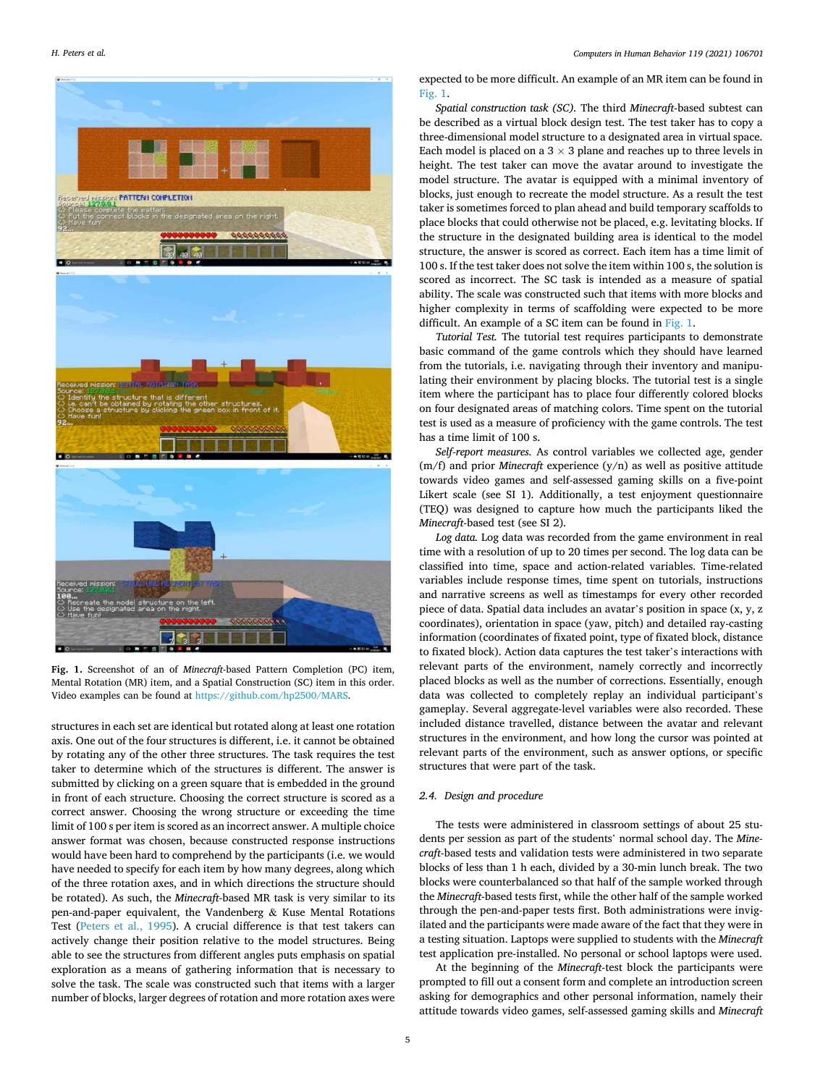<span id="page-4-0"></span>

**Fig. 1.** Screenshot of an of *Minecraft*-based Pattern Completion (PC) item, Mental Rotation (MR) item, and a Spatial Construction (SC) item in this order. Video examples can be found at <https://github.com/hp2500/MARS>.

structures in each set are identical but rotated along at least one rotation axis. One out of the four structures is different, i.e. it cannot be obtained by rotating any of the other three structures. The task requires the test taker to determine which of the structures is different. The answer is submitted by clicking on a green square that is embedded in the ground in front of each structure. Choosing the correct structure is scored as a correct answer. Choosing the wrong structure or exceeding the time limit of 100 s per item is scored as an incorrect answer. A multiple choice answer format was chosen, because constructed response instructions would have been hard to comprehend by the participants (i.e. we would have needed to specify for each item by how many degrees, along which of the three rotation axes, and in which directions the structure should be rotated). As such, the *Minecraft*-based MR task is very similar to its pen-and-paper equivalent, the Vandenberg  $\&$  Kuse Mental Rotations Test ([Peters et al., 1995\)](#page-12-0). A crucial difference is that test takers can actively change their position relative to the model structures. Being able to see the structures from different angles puts emphasis on spatial exploration as a means of gathering information that is necessary to solve the task. The scale was constructed such that items with a larger number of blocks, larger degrees of rotation and more rotation axes were expected to be more difficult. An example of an MR item can be found in Fig. 1.

*Spatial construction task (SC).* The third *Minecraft*-based subtest can be described as a virtual block design test. The test taker has to copy a three-dimensional model structure to a designated area in virtual space. Each model is placed on a  $3 \times 3$  plane and reaches up to three levels in height. The test taker can move the avatar around to investigate the model structure. The avatar is equipped with a minimal inventory of blocks, just enough to recreate the model structure. As a result the test taker is sometimes forced to plan ahead and build temporary scaffolds to place blocks that could otherwise not be placed, e.g. levitating blocks. If the structure in the designated building area is identical to the model structure, the answer is scored as correct. Each item has a time limit of 100 s. If the test taker does not solve the item within 100 s, the solution is scored as incorrect. The SC task is intended as a measure of spatial ability. The scale was constructed such that items with more blocks and higher complexity in terms of scaffolding were expected to be more difficult. An example of a SC item can be found in Fig. 1.

*Tutorial Test.* The tutorial test requires participants to demonstrate basic command of the game controls which they should have learned from the tutorials, i.e. navigating through their inventory and manipulating their environment by placing blocks. The tutorial test is a single item where the participant has to place four differently colored blocks on four designated areas of matching colors. Time spent on the tutorial test is used as a measure of proficiency with the game controls. The test has a time limit of 100 s.

*Self-report measures.* As control variables we collected age, gender (m/f) and prior *Minecraft* experience (y/n) as well as positive attitude towards video games and self-assessed gaming skills on a five-point Likert scale (see SI 1). Additionally, a test enjoyment questionnaire (TEQ) was designed to capture how much the participants liked the *Minecraft*-based test (see SI 2).

*Log data.* Log data was recorded from the game environment in real time with a resolution of up to 20 times per second. The log data can be classified into time, space and action-related variables. Time-related variables include response times, time spent on tutorials, instructions and narrative screens as well as timestamps for every other recorded piece of data. Spatial data includes an avatar's position in space (x, y, z coordinates), orientation in space (yaw, pitch) and detailed ray-casting information (coordinates of fixated point, type of fixated block, distance to fixated block). Action data captures the test taker's interactions with relevant parts of the environment, namely correctly and incorrectly placed blocks as well as the number of corrections. Essentially, enough data was collected to completely replay an individual participant's gameplay. Several aggregate-level variables were also recorded. These included distance travelled, distance between the avatar and relevant structures in the environment, and how long the cursor was pointed at relevant parts of the environment, such as answer options, or specific structures that were part of the task.

## *2.4. Design and procedure*

The tests were administered in classroom settings of about 25 students per session as part of the students' normal school day. The *Minecraft*-based tests and validation tests were administered in two separate blocks of less than 1 h each, divided by a 30-min lunch break. The two blocks were counterbalanced so that half of the sample worked through the *Minecraft*-based tests first, while the other half of the sample worked through the pen-and-paper tests first. Both administrations were invigilated and the participants were made aware of the fact that they were in a testing situation. Laptops were supplied to students with the *Minecraft*  test application pre-installed. No personal or school laptops were used.

At the beginning of the *Minecraft*-test block the participants were prompted to fill out a consent form and complete an introduction screen asking for demographics and other personal information, namely their attitude towards video games, self-assessed gaming skills and *Minecraft*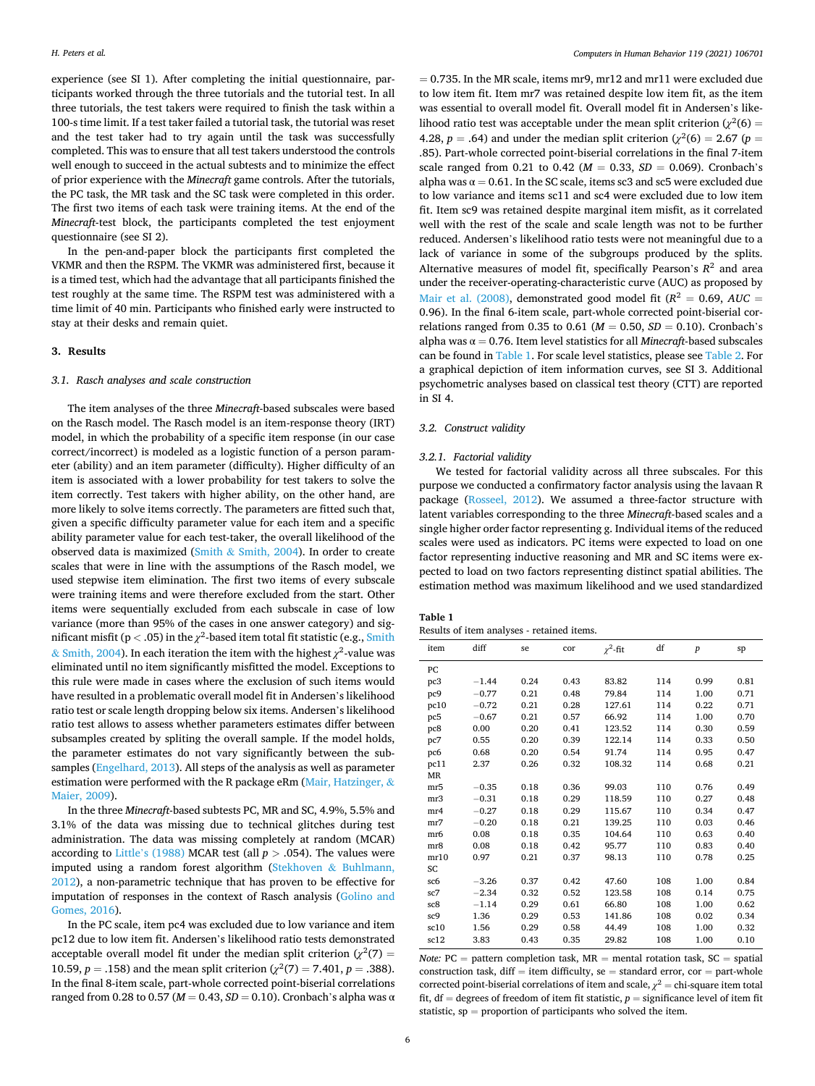experience (see SI 1). After completing the initial questionnaire, participants worked through the three tutorials and the tutorial test. In all three tutorials, the test takers were required to finish the task within a 100-s time limit. If a test taker failed a tutorial task, the tutorial was reset and the test taker had to try again until the task was successfully completed. This was to ensure that all test takers understood the controls well enough to succeed in the actual subtests and to minimize the effect of prior experience with the *Minecraft* game controls. After the tutorials, the PC task, the MR task and the SC task were completed in this order. The first two items of each task were training items. At the end of the *Minecraft*-test block, the participants completed the test enjoyment questionnaire (see SI 2).

In the pen-and-paper block the participants first completed the VKMR and then the RSPM. The VKMR was administered first, because it is a timed test, which had the advantage that all participants finished the test roughly at the same time. The RSPM test was administered with a time limit of 40 min. Participants who finished early were instructed to stay at their desks and remain quiet.

## **3. Results**

#### *3.1. Rasch analyses and scale construction*

The item analyses of the three *Minecraft*-based subscales were based on the Rasch model. The Rasch model is an item-response theory (IRT) model, in which the probability of a specific item response (in our case correct/incorrect) is modeled as a logistic function of a person parameter (ability) and an item parameter (difficulty). Higher difficulty of an item is associated with a lower probability for test takers to solve the item correctly. Test takers with higher ability, on the other hand, are more likely to solve items correctly. The parameters are fitted such that, given a specific difficulty parameter value for each item and a specific ability parameter value for each test-taker, the overall likelihood of the observed data is maximized (Smith & [Smith, 2004](#page-12-0)). In order to create scales that were in line with the assumptions of the Rasch model, we used stepwise item elimination. The first two items of every subscale were training items and were therefore excluded from the start. Other items were sequentially excluded from each subscale in case of low variance (more than 95% of the cases in one answer category) and significant misfit ( $p < .05$ ) in the  $\chi^2$ -based item total fit statistic (e.g., Smith  $\&$  [Smith, 2004](#page-12-0)). In each iteration the item with the highest  $\chi^2$ -value was eliminated until no item significantly misfitted the model. Exceptions to this rule were made in cases where the exclusion of such items would have resulted in a problematic overall model fit in Andersen's likelihood ratio test or scale length dropping below six items. Andersen's likelihood ratio test allows to assess whether parameters estimates differ between subsamples created by spliting the overall sample. If the model holds, the parameter estimates do not vary significantly between the subsamples [\(Engelhard, 2013](#page-11-0)). All steps of the analysis as well as parameter estimation were performed with the R package eRm [\(Mair, Hatzinger,](#page-12-0)  $\&$ [Maier, 2009\)](#page-12-0).

In the three *Minecraft*-based subtests PC, MR and SC, 4.9%, 5.5% and 3.1% of the data was missing due to technical glitches during test administration. The data was missing completely at random (MCAR) according to Little'[s \(1988\)](#page-12-0) MCAR test (all *p >* .054). The values were imputed using a random forest algorithm [\(Stekhoven](#page-12-0) & Buhlmann, [2012\)](#page-12-0), a non-parametric technique that has proven to be effective for imputation of responses in the context of Rasch analysis ([Golino and](#page-11-0)  [Gomes, 2016\)](#page-11-0).

In the PC scale, item pc4 was excluded due to low variance and item pc12 due to low item fit. Andersen's likelihood ratio tests demonstrated acceptable overall model fit under the median split criterion  $(\chi^2(7) =$ 10.59,  $p = .158$ ) and the mean split criterion ( $\chi^2(7) = 7.401$ ,  $p = .388$ ). In the final 8-item scale, part-whole corrected point-biserial correlations ranged from 0.28 to 0.57 (*M* = 0.43, *SD* = 0.10). Cronbach's alpha was α

 $= 0.735$ . In the MR scale, items mr9, mr12 and mr11 were excluded due to low item fit. Item mr7 was retained despite low item fit, as the item was essential to overall model fit. Overall model fit in Andersen's likelihood ratio test was acceptable under the mean split criterion  $(\chi^2(6)$  = 4.28,  $p = .64$ ) and under the median split criterion ( $\chi^2(6) = 2.67$  ( $p =$ .85). Part-whole corrected point-biserial correlations in the final 7-item scale ranged from 0.21 to 0.42 ( $M = 0.33$ ,  $SD = 0.069$ ). Cronbach's alpha was  $\alpha = 0.61$ . In the SC scale, items sc3 and sc5 were excluded due to low variance and items sc11 and sc4 were excluded due to low item fit. Item sc9 was retained despite marginal item misfit, as it correlated well with the rest of the scale and scale length was not to be further reduced. Andersen's likelihood ratio tests were not meaningful due to a lack of variance in some of the subgroups produced by the splits. Alternative measures of model fit, specifically Pearson's  $R^2$  and area under the receiver-operating-characteristic curve (AUC) as proposed by [Mair et al. \(2008\)](#page-12-0), demonstrated good model fit ( $R^2 = 0.69$ ,  $AUC =$ 0.96). In the final 6-item scale, part-whole corrected point-biserial correlations ranged from 0.35 to 0.61 ( $M = 0.50$ ,  $SD = 0.10$ ). Cronbach's alpha was  $\alpha = 0.76$ . Item level statistics for all *Minecraft*-based subscales can be found in Table 1. For scale level statistics, please see [Table 2.](#page-6-0) For a graphical depiction of item information curves, see SI 3. Additional psychometric analyses based on classical test theory (CTT) are reported in SI 4.

# *3.2. Construct validity*

#### *3.2.1. Factorial validity*

We tested for factorial validity across all three subscales. For this purpose we conducted a confirmatory factor analysis using the lavaan R package [\(Rosseel, 2012\)](#page-12-0). We assumed a three-factor structure with latent variables corresponding to the three *Minecraft*-based scales and a single higher order factor representing g. Individual items of the reduced scales were used as indicators. PC items were expected to load on one factor representing inductive reasoning and MR and SC items were expected to load on two factors representing distinct spatial abilities. The estimation method was maximum likelihood and we used standardized

# **Table 1**

Results of item analyses - retained items.

| item      | diff    | se   | cor  | $\gamma^2$ -fit | df  | $\boldsymbol{p}$ | sp   |
|-----------|---------|------|------|-----------------|-----|------------------|------|
| PC        |         |      |      |                 |     |                  |      |
| pc3       | $-1.44$ | 0.24 | 0.43 | 83.82           | 114 | 0.99             | 0.81 |
| pc9       | $-0.77$ | 0.21 | 0.48 | 79.84           | 114 | 1.00             | 0.71 |
| pc10      | $-0.72$ | 0.21 | 0.28 | 127.61          | 114 | 0.22             | 0.71 |
| pc5       | $-0.67$ | 0.21 | 0.57 | 66.92           | 114 | 1.00             | 0.70 |
| pc8       | 0.00    | 0.20 | 0.41 | 123.52          | 114 | 0.30             | 0.59 |
| pc7       | 0.55    | 0.20 | 0.39 | 122.14          | 114 | 0.33             | 0.50 |
| pc6       | 0.68    | 0.20 | 0.54 | 91.74           | 114 | 0.95             | 0.47 |
| pc11      | 2.37    | 0.26 | 0.32 | 108.32          | 114 | 0.68             | 0.21 |
| <b>MR</b> |         |      |      |                 |     |                  |      |
| mr5       | $-0.35$ | 0.18 | 0.36 | 99.03           | 110 | 0.76             | 0.49 |
| mr3       | $-0.31$ | 0.18 | 0.29 | 118.59          | 110 | 0.27             | 0.48 |
| mr4       | $-0.27$ | 0.18 | 0.29 | 115.67          | 110 | 0.34             | 0.47 |
| mr7       | $-0.20$ | 0.18 | 0.21 | 139.25          | 110 | 0.03             | 0.46 |
| mr6       | 0.08    | 0.18 | 0.35 | 104.64          | 110 | 0.63             | 0.40 |
| mr8       | 0.08    | 0.18 | 0.42 | 95.77           | 110 | 0.83             | 0.40 |
| mr10      | 0.97    | 0.21 | 0.37 | 98.13           | 110 | 0.78             | 0.25 |
| SC        |         |      |      |                 |     |                  |      |
| sc6       | $-3.26$ | 0.37 | 0.42 | 47.60           | 108 | 1.00             | 0.84 |
| sc7       | $-2.34$ | 0.32 | 0.52 | 123.58          | 108 | 0.14             | 0.75 |
| sc8       | $-1.14$ | 0.29 | 0.61 | 66.80           | 108 | 1.00             | 0.62 |
| sc9       | 1.36    | 0.29 | 0.53 | 141.86          | 108 | 0.02             | 0.34 |
| sc10      | 1.56    | 0.29 | 0.58 | 44.49           | 108 | 1.00             | 0.32 |
| sc12      | 3.83    | 0.43 | 0.35 | 29.82           | 108 | 1.00             | 0.10 |

*Note:*  $PC =$  pattern completion task,  $MR =$  mental rotation task,  $SC =$  spatial construction task, diff  $=$  item difficulty, se  $=$  standard error, cor  $=$  part-whole corrected point-biserial correlations of item and scale,  $\chi^2$  = chi-square item total fit,  $df = degrees of freedom of item fit statistic,  $p =$  significance level of item fit$ statistic,  $sp =$  proportion of participants who solved the item.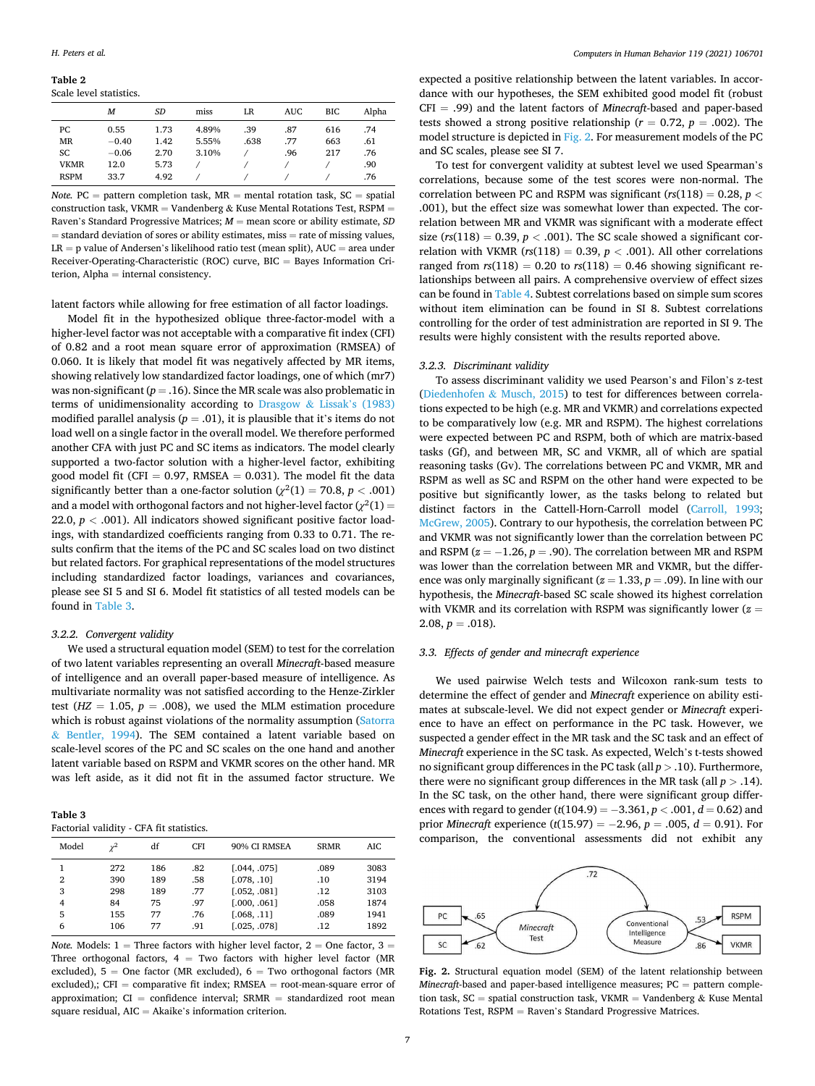#### <span id="page-6-0"></span>**Table 2**  Scale level statistics.

|             | М       | SD   | miss  | LR   | <b>AUC</b> | BIC | Alpha |  |
|-------------|---------|------|-------|------|------------|-----|-------|--|
| PC          | 0.55    | 1.73 | 4.89% | .39  | .87        | 616 | .74   |  |
| MR          | $-0.40$ | 1.42 | 5.55% | .638 | .77        | 663 | .61   |  |
| SC          | $-0.06$ | 2.70 | 3.10% |      | .96        | 217 | .76   |  |
| <b>VKMR</b> | 12.0    | 5.73 |       |      |            |     | .90   |  |
| <b>RSPM</b> | 33.7    | 4.92 |       |      |            |     | .76   |  |
|             |         |      |       |      |            |     |       |  |

*Note.*  $PC =$  pattern completion task,  $MR =$  mental rotation task,  $SC =$  spatial construction task, VKMR = Vandenberg & Kuse Mental Rotations Test, RSPM = Raven's Standard Progressive Matrices; *M* = mean score or ability estimate, *SD*   $=$  standard deviation of sores or ability estimates, miss  $=$  rate of missing values,  $LR = p$  value of Andersen's likelihood ratio test (mean split),  $AUC = area$  under Receiver-Operating-Characteristic (ROC) curve, BIC = Bayes Information Criterion, Alpha = internal consistency.

latent factors while allowing for free estimation of all factor loadings.

Model fit in the hypothesized oblique three-factor-model with a higher-level factor was not acceptable with a comparative fit index (CFI) of 0.82 and a root mean square error of approximation (RMSEA) of 0.060. It is likely that model fit was negatively affected by MR items, showing relatively low standardized factor loadings, one of which (mr7) was non-significant  $(p = .16)$ . Since the MR scale was also problematic in terms of unidimensionality according to [Drasgow](#page-11-0)  $&$  Lissak's (1983) modified parallel analysis ( $p = .01$ ), it is plausible that it's items do not load well on a single factor in the overall model. We therefore performed another CFA with just PC and SC items as indicators. The model clearly supported a two-factor solution with a higher-level factor, exhibiting good model fit (CFI =  $0.97$ , RMSEA =  $0.031$ ). The model fit the data significantly better than a one-factor solution  $(\chi^2(1) = 70.8, p < .001)$ and a model with orthogonal factors and not higher-level factor  $(\chi^2(1)=$ 22.0,  $p < .001$ ). All indicators showed significant positive factor loadings, with standardized coefficients ranging from 0.33 to 0.71. The results confirm that the items of the PC and SC scales load on two distinct but related factors. For graphical representations of the model structures including standardized factor loadings, variances and covariances, please see SI 5 and SI 6. Model fit statistics of all tested models can be found in Table 3.

#### *3.2.2. Convergent validity*

We used a structural equation model (SEM) to test for the correlation of two latent variables representing an overall *Minecraft*-based measure of intelligence and an overall paper-based measure of intelligence. As multivariate normality was not satisfied according to the Henze-Zirkler test ( $HZ = 1.05$ ,  $p = .008$ ), we used the MLM estimation procedure which is robust against violations of the normality assumption (Satorra & [Bentler, 1994](#page-12-0)). The SEM contained a latent variable based on scale-level scores of the PC and SC scales on the one hand and another latent variable based on RSPM and VKMR scores on the other hand. MR was left aside, as it did not fit in the assumed factor structure. We

| Table 3                            |  |  |
|------------------------------------|--|--|
| Enetorial validity. CEA fit etatic |  |  |

|                                    | Factorial validity - CFA fit statistics. |                               |                                 |                                                                            |                                    |                                      |  |  |  |
|------------------------------------|------------------------------------------|-------------------------------|---------------------------------|----------------------------------------------------------------------------|------------------------------------|--------------------------------------|--|--|--|
| Model                              |                                          | df                            | <b>CFI</b>                      | 90% CI RMSEA                                                               | <b>SRMR</b>                        | AIC                                  |  |  |  |
| 1<br>$\overline{2}$<br>3<br>4<br>5 | 272<br>390<br>298<br>84<br>155           | 186<br>189<br>189<br>75<br>77 | .82<br>.58<br>.77<br>.97<br>.76 | [.044, .075]<br>[.078, .10]<br>[.052, .081]<br>[.000, .061]<br>[.068, .11] | .089<br>.10<br>.12<br>.058<br>.089 | 3083<br>3194<br>3103<br>1874<br>1941 |  |  |  |
| 6                                  | 106                                      | 77                            | .91                             | [.025, .078]                                                               | .12                                | 1892                                 |  |  |  |

*Note.* Models:  $1 =$  Three factors with higher level factor,  $2 =$  One factor,  $3 =$ Three orthogonal factors,  $4 = Two factors$  with higher level factor (MR excluded),  $5 =$  One factor (MR excluded),  $6 =$  Two orthogonal factors (MR excluded),;  $CFI = \text{comparative fit index}$ ; RMSEA = root-mean-square error of approximation;  $CI = confidence$  interval;  $SRMR = standardized$  root mean square residual, AIC = Akaike's information criterion.

expected a positive relationship between the latent variables. In accordance with our hypotheses, the SEM exhibited good model fit (robust CFI = .99) and the latent factors of *Minecraft*-based and paper-based tests showed a strong positive relationship ( $r = 0.72$ ,  $p = .002$ ). The model structure is depicted in Fig. 2. For measurement models of the PC and SC scales, please see SI 7.

To test for convergent validity at subtest level we used Spearman's correlations, because some of the test scores were non-normal. The correlation between PC and RSPM was significant (*rs*(118) = 0.28, *p <* .001), but the effect size was somewhat lower than expected. The correlation between MR and VKMR was significant with a moderate effect size ( $rs(118) = 0.39$ ,  $p < .001$ ). The SC scale showed a significant correlation with VKMR ( $rs(118) = 0.39$ ,  $p < .001$ ). All other correlations ranged from  $rs(118) = 0.20$  to  $rs(118) = 0.46$  showing significant relationships between all pairs. A comprehensive overview of effect sizes can be found in [Table 4.](#page-7-0) Subtest correlations based on simple sum scores without item elimination can be found in SI 8. Subtest correlations controlling for the order of test administration are reported in SI 9. The results were highly consistent with the results reported above.

#### *3.2.3. Discriminant validity*

To assess discriminant validity we used Pearson's and Filon's z-test ([Diedenhofen](#page-11-0) & Musch, 2015) to test for differences between correlations expected to be high (e.g. MR and VKMR) and correlations expected to be comparatively low (e.g. MR and RSPM). The highest correlations were expected between PC and RSPM, both of which are matrix-based tasks (Gf), and between MR, SC and VKMR, all of which are spatial reasoning tasks (Gv). The correlations between PC and VKMR, MR and RSPM as well as SC and RSPM on the other hand were expected to be positive but significantly lower, as the tasks belong to related but distinct factors in the Cattell-Horn-Carroll model [\(Carroll, 1993](#page-11-0); [McGrew, 2005](#page-12-0)). Contrary to our hypothesis, the correlation between PC and VKMR was not significantly lower than the correlation between PC and RSPM  $(z = -1.26, p = .90)$ . The correlation between MR and RSPM was lower than the correlation between MR and VKMR, but the difference was only marginally significant  $(z = 1.33, p = .09)$ . In line with our hypothesis, the *Minecraft*-based SC scale showed its highest correlation with VKMR and its correlation with RSPM was significantly lower ( $z =$  $2.08, p = .018$ .

## *3.3. Effects of gender and minecraft experience*

We used pairwise Welch tests and Wilcoxon rank-sum tests to determine the effect of gender and *Minecraft* experience on ability estimates at subscale-level. We did not expect gender or *Minecraft* experience to have an effect on performance in the PC task. However, we suspected a gender effect in the MR task and the SC task and an effect of *Minecraft* experience in the SC task. As expected, Welch's t-tests showed no significant group differences in the PC task (all *p >* .10). Furthermore, there were no significant group differences in the MR task (all  $p > .14$ ). In the SC task, on the other hand, there were significant group differences with regard to gender (*t*(104.9) = −3.361, *p <* .001, *d* = 0.62) and prior *Minecraft* experience (*t*(15.97) = −2.96, *p* = .005, *d* = 0.91). For comparison, the conventional assessments did not exhibit any



**Fig. 2.** Structural equation model (SEM) of the latent relationship between *Minecraft*-based and paper-based intelligence measures; PC = pattern completion task,  $SC =$  spatial construction task,  $VKMR =$  Vandenberg & Kuse Mental Rotations Test, RSPM = Raven's Standard Progressive Matrices.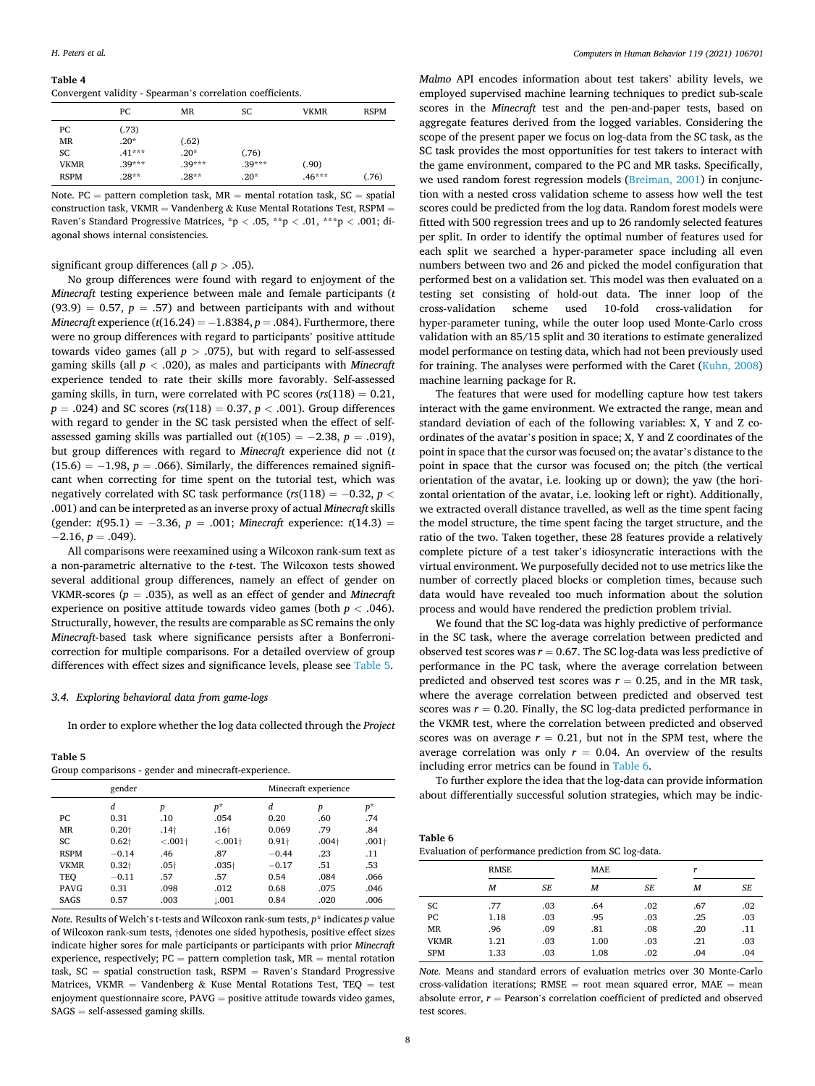#### <span id="page-7-0"></span>**Table 4**

Convergent validity - Spearman's correlation coefficients.

|             | PС       | MR       | SC       | <b>VKMR</b> | <b>RSPM</b> |
|-------------|----------|----------|----------|-------------|-------------|
| PС          | (.73)    |          |          |             |             |
| <b>MR</b>   | $.20*$   | (.62)    |          |             |             |
| SC          | $.41***$ | $.20*$   | (.76)    |             |             |
| <b>VKMR</b> | $.39***$ | $.39***$ | $.39***$ | (.90)       |             |
| <b>RSPM</b> | $.28**$  | $.28**$  | $.20*$   | $.46***$    | (.76)       |

Note. PC = pattern completion task,  $MR$  = mental rotation task,  $SC$  = spatial construction task, VKMR = Vandenberg & Kuse Mental Rotations Test, RSPM = Raven's Standard Progressive Matrices, \*p *<* .05, \*\*p *<* .01, \*\*\*p *<* .001; diagonal shows internal consistencies.

significant group differences (all *p >* .05).

No group differences were found with regard to enjoyment of the *Minecraft* testing experience between male and female participants (*t*   $(93.9) = 0.57$ ,  $p = .57$ ) and between participants with and without *Minecraft* experience  $(t(16.24) = -1.8384, p = .084)$ . Furthermore, there were no group differences with regard to participants' positive attitude towards video games (all  $p > .075$ ), but with regard to self-assessed gaming skills (all *p <* .020), as males and participants with *Minecraft*  experience tended to rate their skills more favorably. Self-assessed gaming skills, in turn, were correlated with PC scores (*rs*(118) = 0.21, *p* = .024) and SC scores (*rs*(118) = 0.37, *p <* .001). Group differences with regard to gender in the SC task persisted when the effect of selfassessed gaming skills was partialled out  $(t(105) = -2.38, p = .019)$ , but group differences with regard to *Minecraft* experience did not (*t*   $(15.6) = -1.98$ ,  $p = .066$ ). Similarly, the differences remained significant when correcting for time spent on the tutorial test, which was negatively correlated with SC task performance (*rs*(118) = −0.32, *p <* .001) and can be interpreted as an inverse proxy of actual *Minecraft* skills (gender: *t*(95.1) = −3.36, *p* = .001; *Minecraft* experience: *t*(14.3) =  $-2.16, p = .049$ ).

All comparisons were reexamined using a Wilcoxon rank-sum text as a non-parametric alternative to the *t*-test. The Wilcoxon tests showed several additional group differences, namely an effect of gender on VKMR-scores ( $p = .035$ ), as well as an effect of gender and *Minecraft* experience on positive attitude towards video games (both *p <* .046). Structurally, however, the results are comparable as SC remains the only *Minecraft*-based task where significance persists after a Bonferronicorrection for multiple comparisons. For a detailed overview of group differences with effect sizes and significance levels, please see Table 5.

## *3.4. Exploring behavioral data from game-logs*

In order to explore whether the log data collected through the *Project* 

**Table 5** 

| Group comparisons - gender and minecraft-experience. |  |
|------------------------------------------------------|--|
|------------------------------------------------------|--|

|             | gender            |                  |                  | Minecraft experience |                  |         |
|-------------|-------------------|------------------|------------------|----------------------|------------------|---------|
|             | d                 | p                | $p^*$            | d                    | $\boldsymbol{p}$ | $p^*$   |
| PC          | 0.31              | .10              | .054             | 0.20                 | .60              | .74     |
| <b>MR</b>   | 0.20 <sub>†</sub> | .14 <sub>†</sub> | .16 <sup>†</sup> | 0.069                | .79              | .84     |
| SC          | $0.62\dagger$     | $< .001+$        | $< .001+$        | $0.91\dagger$        | $.004+$          | $.001+$ |
| <b>RSPM</b> | $-0.14$           | .46              | .87              | $-0.44$              | .23              | .11     |
| <b>VKMR</b> | $0.32+$           | $.05+$           | $.035+$          | $-0.17$              | .51              | .53     |
| TEO         | $-0.11$           | .57              | .57              | 0.54                 | .084             | .066    |
| <b>PAVG</b> | 0.31              | .098             | .012             | 0.68                 | .075             | .046    |
| SAGS        | 0.57              | .003             | 1.001            | 0.84                 | .020             | .006    |

*Note.* Results of Welch's t-tests and Wilcoxon rank-sum tests, *p*\* indicates *p* value of Wilcoxon rank-sum tests, †denotes one sided hypothesis, positive effect sizes indicate higher sores for male participants or participants with prior *Minecraft*  experience, respectively;  $PC =$  pattern completion task,  $MR =$  mental rotation task, SC = spatial construction task, RSPM = Raven's Standard Progressive Matrices, VKMR = Vandenberg & Kuse Mental Rotations Test, TEQ = test enjoyment questionnaire score, PAVG = positive attitude towards video games, SAGS = self-assessed gaming skills.

*Malmo* API encodes information about test takers' ability levels, we employed supervised machine learning techniques to predict sub-scale scores in the *Minecraft* test and the pen-and-paper tests, based on aggregate features derived from the logged variables. Considering the scope of the present paper we focus on log-data from the SC task, as the SC task provides the most opportunities for test takers to interact with the game environment, compared to the PC and MR tasks. Specifically, we used random forest regression models ([Breiman, 2001](#page-11-0)) in conjunction with a nested cross validation scheme to assess how well the test scores could be predicted from the log data. Random forest models were fitted with 500 regression trees and up to 26 randomly selected features per split. In order to identify the optimal number of features used for each split we searched a hyper-parameter space including all even numbers between two and 26 and picked the model configuration that performed best on a validation set. This model was then evaluated on a testing set consisting of hold-out data. The inner loop of the cross-validation scheme used 10-fold cross-validation for hyper-parameter tuning, while the outer loop used Monte-Carlo cross validation with an 85/15 split and 30 iterations to estimate generalized model performance on testing data, which had not been previously used for training. The analyses were performed with the Caret [\(Kuhn, 2008\)](#page-12-0) machine learning package for R.

The features that were used for modelling capture how test takers interact with the game environment. We extracted the range, mean and standard deviation of each of the following variables: X, Y and Z coordinates of the avatar's position in space; X, Y and Z coordinates of the point in space that the cursor was focused on; the avatar's distance to the point in space that the cursor was focused on; the pitch (the vertical orientation of the avatar, i.e. looking up or down); the yaw (the horizontal orientation of the avatar, i.e. looking left or right). Additionally, we extracted overall distance travelled, as well as the time spent facing the model structure, the time spent facing the target structure, and the ratio of the two. Taken together, these 28 features provide a relatively complete picture of a test taker's idiosyncratic interactions with the virtual environment. We purposefully decided not to use metrics like the number of correctly placed blocks or completion times, because such data would have revealed too much information about the solution process and would have rendered the prediction problem trivial.

We found that the SC log-data was highly predictive of performance in the SC task, where the average correlation between predicted and observed test scores was  $r = 0.67$ . The SC log-data was less predictive of performance in the PC task, where the average correlation between predicted and observed test scores was  $r = 0.25$ , and in the MR task, where the average correlation between predicted and observed test scores was  $r = 0.20$ . Finally, the SC log-data predicted performance in the VKMR test, where the correlation between predicted and observed scores was on average  $r = 0.21$ , but not in the SPM test, where the average correlation was only  $r = 0.04$ . An overview of the results including error metrics can be found in Table 6.

To further explore the idea that the log-data can provide information about differentially successful solution strategies, which may be indic-

| Table 6                                                |  |
|--------------------------------------------------------|--|
| Evaluation of performance prediction from SC log-data. |  |

|             | <b>RMSE</b> |     | <b>MAE</b> |           | r   |     |
|-------------|-------------|-----|------------|-----------|-----|-----|
|             | М           | SE  | M          | <b>SE</b> | M   | SE  |
| SC          | .77         | .03 | .64        | .02       | .67 | .02 |
| PC          | 1.18        | .03 | .95        | .03       | .25 | .03 |
| <b>MR</b>   | .96         | .09 | .81        | .08       | .20 | .11 |
| <b>VKMR</b> | 1.21        | .03 | 1.00       | .03       | .21 | .03 |
| <b>SPM</b>  | 1.33        | .03 | 1.08       | .02       | .04 | .04 |

*Note.* Means and standard errors of evaluation metrics over 30 Monte-Carlo cross-validation iterations;  $RMSE = root$  mean squared error,  $MAE = mean$ absolute error,  $r =$  Pearson's correlation coefficient of predicted and observed test scores.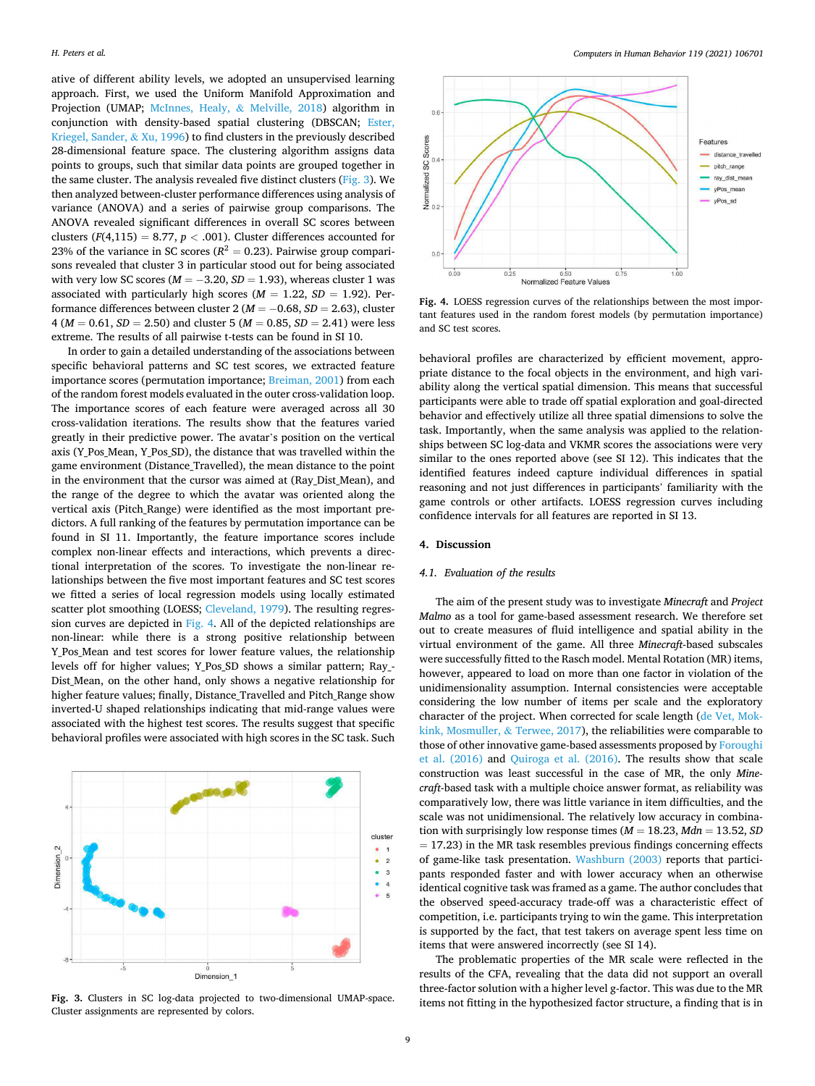ative of different ability levels, we adopted an unsupervised learning approach. First, we used the Uniform Manifold Approximation and Projection (UMAP; [McInnes, Healy,](#page-12-0) & Melville, 2018) algorithm in conjunction with density-based spatial clustering (DBSCAN; [Ester,](#page-11-0)  [Kriegel, Sander,](#page-11-0) & Xu, 1996) to find clusters in the previously described 28-dimensional feature space. The clustering algorithm assigns data points to groups, such that similar data points are grouped together in the same cluster. The analysis revealed five distinct clusters (Fig. 3). We then analyzed between-cluster performance differences using analysis of variance (ANOVA) and a series of pairwise group comparisons. The ANOVA revealed significant differences in overall SC scores between clusters ( $F(4,115) = 8.77$ ,  $p < .001$ ). Cluster differences accounted for 23% of the variance in SC scores ( $R^2 = 0.23$ ). Pairwise group comparisons revealed that cluster 3 in particular stood out for being associated with very low SC scores ( $M = -3.20$ ,  $SD = 1.93$ ), whereas cluster 1 was associated with particularly high scores  $(M = 1.22, SD = 1.92)$ . Performance differences between cluster  $2 (M = -0.68, SD = 2.63)$ , cluster 4 (*M* = 0.61, *SD* = 2.50) and cluster 5 (*M* = 0.85, *SD* = 2.41) were less extreme. The results of all pairwise t-tests can be found in SI 10.

In order to gain a detailed understanding of the associations between specific behavioral patterns and SC test scores, we extracted feature importance scores (permutation importance; [Breiman, 2001](#page-11-0)) from each of the random forest models evaluated in the outer cross-validation loop. The importance scores of each feature were averaged across all 30 cross-validation iterations. The results show that the features varied greatly in their predictive power. The avatar's position on the vertical axis (Y\_Pos\_Mean, Y\_Pos\_SD), the distance that was travelled within the game environment (Distance\_Travelled), the mean distance to the point in the environment that the cursor was aimed at (Ray\_Dist\_Mean), and the range of the degree to which the avatar was oriented along the vertical axis (Pitch\_Range) were identified as the most important predictors. A full ranking of the features by permutation importance can be found in SI 11. Importantly, the feature importance scores include complex non-linear effects and interactions, which prevents a directional interpretation of the scores. To investigate the non-linear relationships between the five most important features and SC test scores we fitted a series of local regression models using locally estimated scatter plot smoothing (LOESS; [Cleveland, 1979\)](#page-11-0). The resulting regression curves are depicted in Fig. 4. All of the depicted relationships are non-linear: while there is a strong positive relationship between Y Pos Mean and test scores for lower feature values, the relationship levels off for higher values; Y\_Pos\_SD shows a similar pattern; Ray\_- Dist Mean, on the other hand, only shows a negative relationship for higher feature values; finally, Distance\_Travelled and Pitch\_Range show inverted-U shaped relationships indicating that mid-range values were associated with the highest test scores. The results suggest that specific behavioral profiles were associated with high scores in the SC task. Such





**Fig. 4.** LOESS regression curves of the relationships between the most important features used in the random forest models (by permutation importance) and SC test scores.

behavioral profiles are characterized by efficient movement, appropriate distance to the focal objects in the environment, and high variability along the vertical spatial dimension. This means that successful participants were able to trade off spatial exploration and goal-directed behavior and effectively utilize all three spatial dimensions to solve the task. Importantly, when the same analysis was applied to the relationships between SC log-data and VKMR scores the associations were very similar to the ones reported above (see SI 12). This indicates that the identified features indeed capture individual differences in spatial reasoning and not just differences in participants' familiarity with the game controls or other artifacts. LOESS regression curves including confidence intervals for all features are reported in SI 13.

## **4. Discussion**

## *4.1. Evaluation of the results*

The aim of the present study was to investigate *Minecraft* and *Project Malmo* as a tool for game-based assessment research. We therefore set out to create measures of fluid intelligence and spatial ability in the virtual environment of the game. All three *Minecraft*-based subscales were successfully fitted to the Rasch model. Mental Rotation (MR) items, however, appeared to load on more than one factor in violation of the unidimensionality assumption. Internal consistencies were acceptable considering the low number of items per scale and the exploratory character of the project. When corrected for scale length [\(de Vet, Mok](#page-12-0)[kink, Mosmuller,](#page-12-0) & Terwee, 2017), the reliabilities were comparable to those of other innovative game-based assessments proposed by [Foroughi](#page-11-0)  [et al. \(2016\)](#page-11-0) and [Quiroga et al. \(2016\).](#page-12-0) The results show that scale construction was least successful in the case of MR, the only *Minecraft*-based task with a multiple choice answer format, as reliability was comparatively low, there was little variance in item difficulties, and the scale was not unidimensional. The relatively low accuracy in combination with surprisingly low response times  $(M = 18.23, Mdn = 13.52, SD$  $= 17.23$ ) in the MR task resembles previous findings concerning effects of game-like task presentation. [Washburn \(2003\)](#page-12-0) reports that participants responded faster and with lower accuracy when an otherwise identical cognitive task was framed as a game. The author concludes that the observed speed-accuracy trade-off was a characteristic effect of competition, i.e. participants trying to win the game. This interpretation is supported by the fact, that test takers on average spent less time on items that were answered incorrectly (see SI 14).

The problematic properties of the MR scale were reflected in the results of the CFA, revealing that the data did not support an overall three-factor solution with a higher level g-factor. This was due to the MR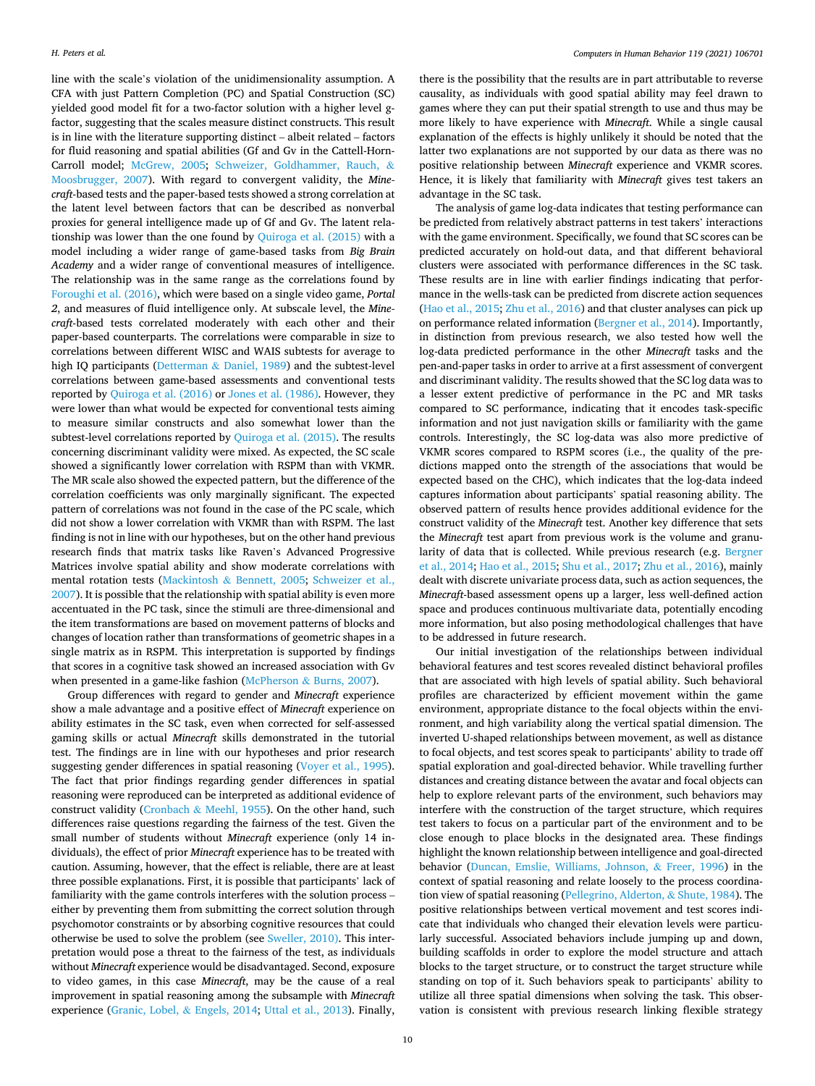line with the scale's violation of the unidimensionality assumption. A CFA with just Pattern Completion (PC) and Spatial Construction (SC) yielded good model fit for a two-factor solution with a higher level gfactor, suggesting that the scales measure distinct constructs. This result is in line with the literature supporting distinct – albeit related – factors for fluid reasoning and spatial abilities (Gf and Gv in the Cattell-Horn-Carroll model; [McGrew, 2005](#page-12-0); [Schweizer, Goldhammer, Rauch,](#page-12-0) & [Moosbrugger, 2007](#page-12-0)). With regard to convergent validity, the *Minecraft*-based tests and the paper-based tests showed a strong correlation at the latent level between factors that can be described as nonverbal proxies for general intelligence made up of Gf and Gv. The latent relationship was lower than the one found by [Quiroga et al. \(2015\)](#page-12-0) with a model including a wider range of game-based tasks from *Big Brain Academy* and a wider range of conventional measures of intelligence. The relationship was in the same range as the correlations found by [Foroughi et al. \(2016\),](#page-11-0) which were based on a single video game, *Portal 2*, and measures of fluid intelligence only. At subscale level, the *Minecraft*-based tests correlated moderately with each other and their paper-based counterparts. The correlations were comparable in size to correlations between different WISC and WAIS subtests for average to high IQ participants (Detterman & [Daniel, 1989](#page-11-0)) and the subtest-level correlations between game-based assessments and conventional tests reported by [Quiroga et al. \(2016\)](#page-12-0) or [Jones et al. \(1986\).](#page-12-0) However, they were lower than what would be expected for conventional tests aiming to measure similar constructs and also somewhat lower than the subtest-level correlations reported by [Quiroga et al. \(2015\).](#page-12-0) The results concerning discriminant validity were mixed. As expected, the SC scale showed a significantly lower correlation with RSPM than with VKMR. The MR scale also showed the expected pattern, but the difference of the correlation coefficients was only marginally significant. The expected pattern of correlations was not found in the case of the PC scale, which did not show a lower correlation with VKMR than with RSPM. The last finding is not in line with our hypotheses, but on the other hand previous research finds that matrix tasks like Raven's Advanced Progressive Matrices involve spatial ability and show moderate correlations with mental rotation tests (Mackintosh & [Bennett, 2005](#page-12-0); [Schweizer et al.,](#page-12-0)  [2007\)](#page-12-0). It is possible that the relationship with spatial ability is even more accentuated in the PC task, since the stimuli are three-dimensional and the item transformations are based on movement patterns of blocks and changes of location rather than transformations of geometric shapes in a single matrix as in RSPM. This interpretation is supported by findings that scores in a cognitive task showed an increased association with Gv when presented in a game-like fashion (McPherson & [Burns, 2007](#page-12-0)).

Group differences with regard to gender and *Minecraft* experience show a male advantage and a positive effect of *Minecraft* experience on ability estimates in the SC task, even when corrected for self-assessed gaming skills or actual *Minecraft* skills demonstrated in the tutorial test. The findings are in line with our hypotheses and prior research suggesting gender differences in spatial reasoning ([Voyer et al., 1995](#page-12-0)). The fact that prior findings regarding gender differences in spatial reasoning were reproduced can be interpreted as additional evidence of construct validity (Cronbach & [Meehl, 1955\)](#page-11-0). On the other hand, such differences raise questions regarding the fairness of the test. Given the small number of students without *Minecraft* experience (only 14 individuals), the effect of prior *Minecraft* experience has to be treated with caution. Assuming, however, that the effect is reliable, there are at least three possible explanations. First, it is possible that participants' lack of familiarity with the game controls interferes with the solution process – either by preventing them from submitting the correct solution through psychomotor constraints or by absorbing cognitive resources that could otherwise be used to solve the problem (see [Sweller, 2010\)](#page-12-0). This interpretation would pose a threat to the fairness of the test, as individuals without *Minecraft* experience would be disadvantaged. Second, exposure to video games, in this case *Minecraft*, may be the cause of a real improvement in spatial reasoning among the subsample with *Minecraft*  experience [\(Granic, Lobel,](#page-11-0) & Engels, 2014; [Uttal et al., 2013](#page-12-0)). Finally,

there is the possibility that the results are in part attributable to reverse causality, as individuals with good spatial ability may feel drawn to games where they can put their spatial strength to use and thus may be more likely to have experience with *Minecraft*. While a single causal explanation of the effects is highly unlikely it should be noted that the latter two explanations are not supported by our data as there was no positive relationship between *Minecraft* experience and VKMR scores. Hence, it is likely that familiarity with *Minecraft* gives test takers an advantage in the SC task.

The analysis of game log-data indicates that testing performance can be predicted from relatively abstract patterns in test takers' interactions with the game environment. Specifically, we found that SC scores can be predicted accurately on hold-out data, and that different behavioral clusters were associated with performance differences in the SC task. These results are in line with earlier findings indicating that performance in the wells-task can be predicted from discrete action sequences ([Hao et al., 2015](#page-11-0); [Zhu et al., 2016\)](#page-12-0) and that cluster analyses can pick up on performance related information [\(Bergner et al., 2014](#page-11-0)). Importantly, in distinction from previous research, we also tested how well the log-data predicted performance in the other *Minecraft* tasks and the pen-and-paper tasks in order to arrive at a first assessment of convergent and discriminant validity. The results showed that the SC log data was to a lesser extent predictive of performance in the PC and MR tasks compared to SC performance, indicating that it encodes task-specific information and not just navigation skills or familiarity with the game controls. Interestingly, the SC log-data was also more predictive of VKMR scores compared to RSPM scores (i.e., the quality of the predictions mapped onto the strength of the associations that would be expected based on the CHC), which indicates that the log-data indeed captures information about participants' spatial reasoning ability. The observed pattern of results hence provides additional evidence for the construct validity of the *Minecraft* test. Another key difference that sets the *Minecraft* test apart from previous work is the volume and granularity of data that is collected. While previous research (e.g. [Bergner](#page-11-0)  [et al., 2014](#page-11-0); [Hao et al., 2015;](#page-11-0) [Shu et al., 2017](#page-12-0); [Zhu et al., 2016\)](#page-12-0), mainly dealt with discrete univariate process data, such as action sequences, the *Minecraft*-based assessment opens up a larger, less well-defined action space and produces continuous multivariate data, potentially encoding more information, but also posing methodological challenges that have to be addressed in future research.

Our initial investigation of the relationships between individual behavioral features and test scores revealed distinct behavioral profiles that are associated with high levels of spatial ability. Such behavioral profiles are characterized by efficient movement within the game environment, appropriate distance to the focal objects within the environment, and high variability along the vertical spatial dimension. The inverted U-shaped relationships between movement, as well as distance to focal objects, and test scores speak to participants' ability to trade off spatial exploration and goal-directed behavior. While travelling further distances and creating distance between the avatar and focal objects can help to explore relevant parts of the environment, such behaviors may interfere with the construction of the target structure, which requires test takers to focus on a particular part of the environment and to be close enough to place blocks in the designated area. These findings highlight the known relationship between intelligence and goal-directed behavior [\(Duncan, Emslie, Williams, Johnson,](#page-11-0) & Freer, 1996) in the context of spatial reasoning and relate loosely to the process coordination view of spatial reasoning [\(Pellegrino, Alderton,](#page-12-0) & Shute, 1984). The positive relationships between vertical movement and test scores indicate that individuals who changed their elevation levels were particularly successful. Associated behaviors include jumping up and down, building scaffolds in order to explore the model structure and attach blocks to the target structure, or to construct the target structure while standing on top of it. Such behaviors speak to participants' ability to utilize all three spatial dimensions when solving the task. This observation is consistent with previous research linking flexible strategy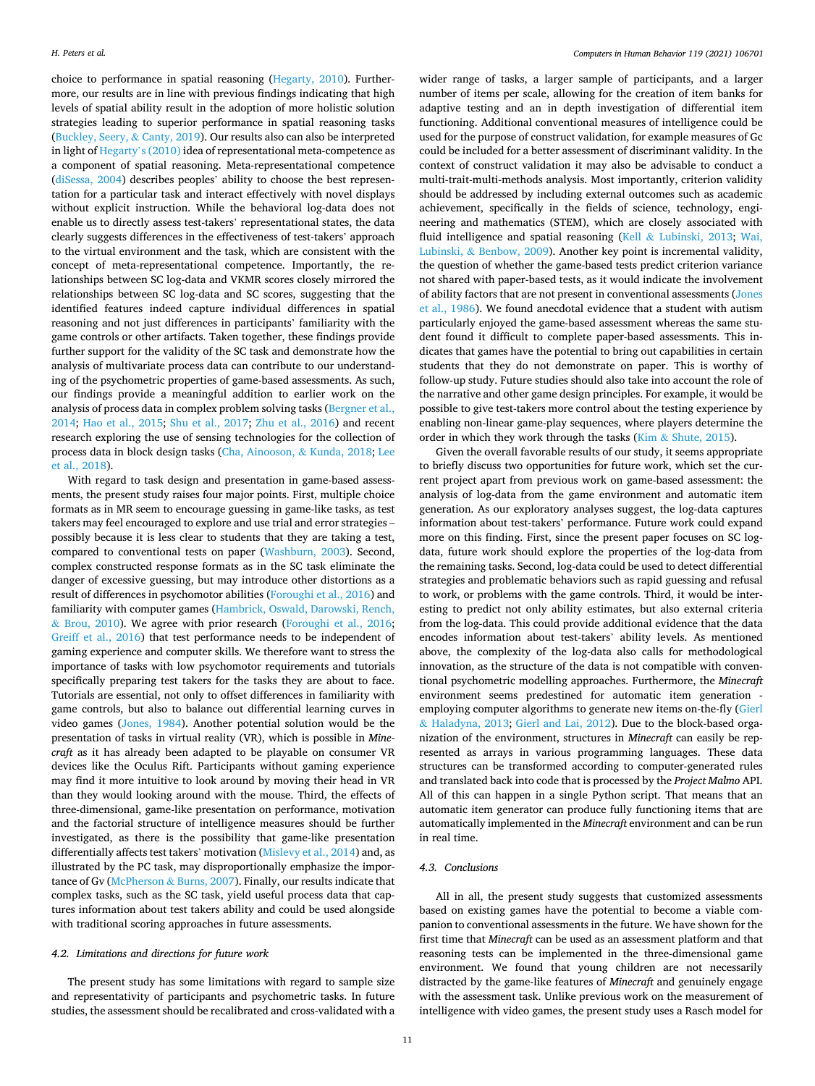choice to performance in spatial reasoning ([Hegarty, 2010](#page-11-0)). Furthermore, our results are in line with previous findings indicating that high levels of spatial ability result in the adoption of more holistic solution strategies leading to superior performance in spatial reasoning tasks ([Buckley, Seery,](#page-11-0) & Canty, 2019). Our results also can also be interpreted in light of Hegarty'[s \(2010\)](#page-11-0) idea of representational meta-competence as a component of spatial reasoning. Meta-representational competence ([diSessa, 2004](#page-11-0)) describes peoples' ability to choose the best representation for a particular task and interact effectively with novel displays without explicit instruction. While the behavioral log-data does not enable us to directly assess test-takers' representational states, the data clearly suggests differences in the effectiveness of test-takers' approach to the virtual environment and the task, which are consistent with the concept of meta-representational competence. Importantly, the relationships between SC log-data and VKMR scores closely mirrored the relationships between SC log-data and SC scores, suggesting that the identified features indeed capture individual differences in spatial reasoning and not just differences in participants' familiarity with the game controls or other artifacts. Taken together, these findings provide further support for the validity of the SC task and demonstrate how the analysis of multivariate process data can contribute to our understanding of the psychometric properties of game-based assessments. As such, our findings provide a meaningful addition to earlier work on the analysis of process data in complex problem solving tasks [\(Bergner et al.,](#page-11-0)  [2014;](#page-11-0) [Hao et al., 2015](#page-11-0); [Shu et al., 2017;](#page-12-0) [Zhu et al., 2016\)](#page-12-0) and recent research exploring the use of sensing technologies for the collection of process data in block design tasks [\(Cha, Ainooson,](#page-11-0) & Kunda, 2018; [Lee](#page-12-0)  [et al., 2018\)](#page-12-0).

With regard to task design and presentation in game-based assessments, the present study raises four major points. First, multiple choice formats as in MR seem to encourage guessing in game-like tasks, as test takers may feel encouraged to explore and use trial and error strategies – possibly because it is less clear to students that they are taking a test, compared to conventional tests on paper [\(Washburn, 2003\)](#page-12-0). Second, complex constructed response formats as in the SC task eliminate the danger of excessive guessing, but may introduce other distortions as a result of differences in psychomotor abilities ([Foroughi et al., 2016\)](#page-11-0) and familiarity with computer games ([Hambrick, Oswald, Darowski, Rench,](#page-11-0)  & [Brou, 2010](#page-11-0)). We agree with prior research [\(Foroughi et al., 2016](#page-11-0); [Greiff et al., 2016\)](#page-11-0) that test performance needs to be independent of gaming experience and computer skills. We therefore want to stress the importance of tasks with low psychomotor requirements and tutorials specifically preparing test takers for the tasks they are about to face. Tutorials are essential, not only to offset differences in familiarity with game controls, but also to balance out differential learning curves in video games [\(Jones, 1984\)](#page-11-0). Another potential solution would be the presentation of tasks in virtual reality (VR), which is possible in *Minecraft* as it has already been adapted to be playable on consumer VR devices like the Oculus Rift. Participants without gaming experience may find it more intuitive to look around by moving their head in VR than they would looking around with the mouse. Third, the effects of three-dimensional, game-like presentation on performance, motivation and the factorial structure of intelligence measures should be further investigated, as there is the possibility that game-like presentation differentially affects test takers' motivation [\(Mislevy et al., 2014\)](#page-12-0) and, as illustrated by the PC task, may disproportionally emphasize the importance of Gv (McPherson & [Burns, 2007](#page-12-0)). Finally, our results indicate that complex tasks, such as the SC task, yield useful process data that captures information about test takers ability and could be used alongside with traditional scoring approaches in future assessments.

# *4.2. Limitations and directions for future work*

The present study has some limitations with regard to sample size and representativity of participants and psychometric tasks. In future studies, the assessment should be recalibrated and cross-validated with a

wider range of tasks, a larger sample of participants, and a larger number of items per scale, allowing for the creation of item banks for adaptive testing and an in depth investigation of differential item functioning. Additional conventional measures of intelligence could be used for the purpose of construct validation, for example measures of Gc could be included for a better assessment of discriminant validity. In the context of construct validation it may also be advisable to conduct a multi-trait-multi-methods analysis. Most importantly, criterion validity should be addressed by including external outcomes such as academic achievement, specifically in the fields of science, technology, engineering and mathematics (STEM), which are closely associated with fluid intelligence and spatial reasoning (Kell & [Lubinski, 2013;](#page-12-0) [Wai,](#page-12-0)  Lubinski, & [Benbow, 2009](#page-12-0)). Another key point is incremental validity, the question of whether the game-based tests predict criterion variance not shared with paper-based tests, as it would indicate the involvement of ability factors that are not present in conventional assessments ([Jones](#page-12-0)  [et al., 1986](#page-12-0)). We found anecdotal evidence that a student with autism particularly enjoyed the game-based assessment whereas the same student found it difficult to complete paper-based assessments. This indicates that games have the potential to bring out capabilities in certain students that they do not demonstrate on paper. This is worthy of follow-up study. Future studies should also take into account the role of the narrative and other game design principles. For example, it would be possible to give test-takers more control about the testing experience by enabling non-linear game-play sequences, where players determine the order in which they work through the tasks (Kim  $&$  [Shute, 2015\)](#page-12-0).

Given the overall favorable results of our study, it seems appropriate to briefly discuss two opportunities for future work, which set the current project apart from previous work on game-based assessment: the analysis of log-data from the game environment and automatic item generation. As our exploratory analyses suggest, the log-data captures information about test-takers' performance. Future work could expand more on this finding. First, since the present paper focuses on SC logdata, future work should explore the properties of the log-data from the remaining tasks. Second, log-data could be used to detect differential strategies and problematic behaviors such as rapid guessing and refusal to work, or problems with the game controls. Third, it would be interesting to predict not only ability estimates, but also external criteria from the log-data. This could provide additional evidence that the data encodes information about test-takers' ability levels. As mentioned above, the complexity of the log-data also calls for methodological innovation, as the structure of the data is not compatible with conventional psychometric modelling approaches. Furthermore, the *Minecraft*  environment seems predestined for automatic item generation employing computer algorithms to generate new items on-the-fly [\(Gierl](#page-11-0)  & [Haladyna, 2013](#page-11-0); [Gierl and Lai, 2012\)](#page-11-0). Due to the block-based organization of the environment, structures in *Minecraft* can easily be represented as arrays in various programming languages. These data structures can be transformed according to computer-generated rules and translated back into code that is processed by the *Project Malmo* API. All of this can happen in a single Python script. That means that an automatic item generator can produce fully functioning items that are automatically implemented in the *Minecraft* environment and can be run in real time.

# *4.3. Conclusions*

All in all, the present study suggests that customized assessments based on existing games have the potential to become a viable companion to conventional assessments in the future. We have shown for the first time that *Minecraft* can be used as an assessment platform and that reasoning tests can be implemented in the three-dimensional game environment. We found that young children are not necessarily distracted by the game-like features of *Minecraft* and genuinely engage with the assessment task. Unlike previous work on the measurement of intelligence with video games, the present study uses a Rasch model for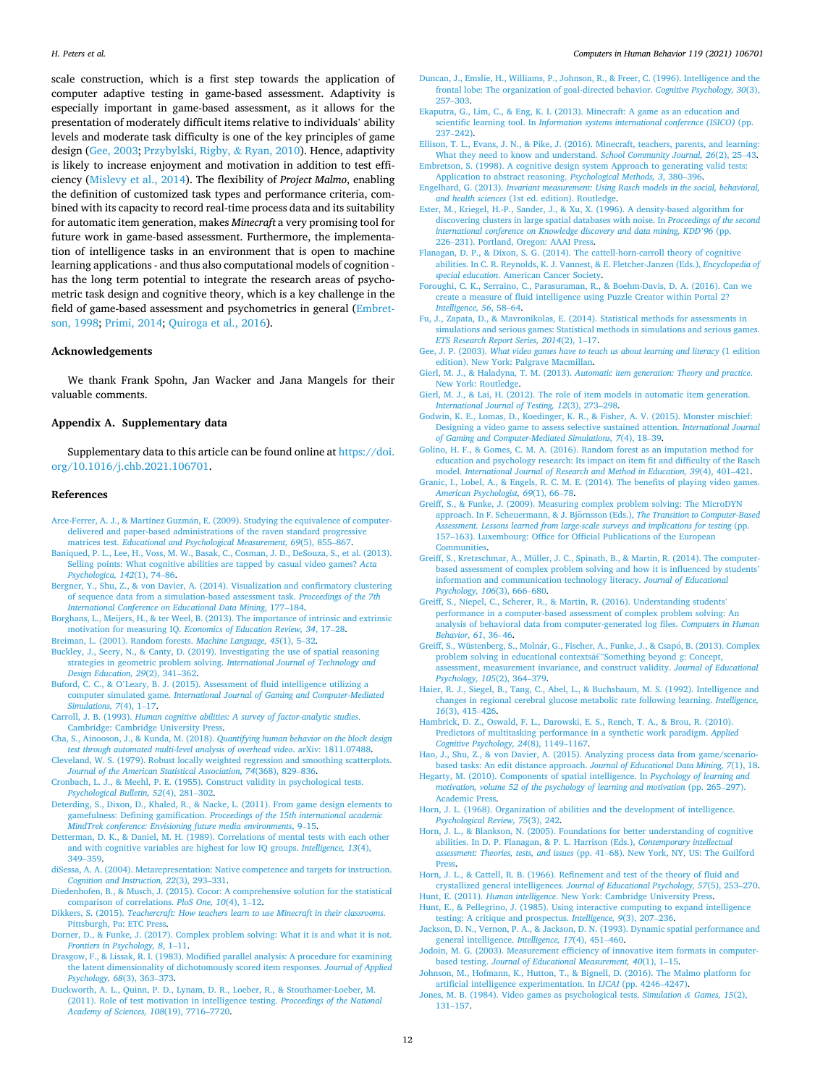<span id="page-11-0"></span>scale construction, which is a first step towards the application of computer adaptive testing in game-based assessment. Adaptivity is especially important in game-based assessment, as it allows for the presentation of moderately difficult items relative to individuals' ability levels and moderate task difficulty is one of the key principles of game design (Gee, 2003; [Przybylski, Rigby,](#page-12-0) & Ryan, 2010). Hence, adaptivity is likely to increase enjoyment and motivation in addition to test efficiency ([Mislevy et al., 2014\)](#page-12-0). The flexibility of *Project Malmo*, enabling the definition of customized task types and performance criteria, combined with its capacity to record real-time process data and its suitability for automatic item generation, makes *Minecraft* a very promising tool for future work in game-based assessment. Furthermore, the implementation of intelligence tasks in an environment that is open to machine learning applications - and thus also computational models of cognition has the long term potential to integrate the research areas of psychometric task design and cognitive theory, which is a key challenge in the field of game-based assessment and psychometrics in general (Embretson, 1998; [Primi, 2014; Quiroga et al., 2016\)](#page-12-0).

# **Acknowledgements**

We thank Frank Spohn, Jan Wacker and Jana Mangels for their valuable comments.

# **Appendix A. Supplementary data**

Supplementary data to this article can be found online at [https://doi.](https://doi.org/10.1016/j.chb.2021.106701)  [org/10.1016/j.chb.2021.106701.](https://doi.org/10.1016/j.chb.2021.106701)

#### **References**

- Arce-Ferrer, A. J., & Martínez Guzmán, E. (2009). Studying the equivalence of computer[delivered and paper-based administrations of the raven standard progressive](http://refhub.elsevier.com/S0747-5632(21)00023-6/sref2) matrices test. *[Educational and Psychological Measurement, 69](http://refhub.elsevier.com/S0747-5632(21)00023-6/sref2)*(5), 855–867.
- [Baniqued, P. L., Lee, H., Voss, M. W., Basak, C., Cosman, J. D., DeSouza, S., et al. \(2013\).](http://refhub.elsevier.com/S0747-5632(21)00023-6/sref3)  [Selling points: What cognitive abilities are tapped by casual video games?](http://refhub.elsevier.com/S0747-5632(21)00023-6/sref3) *Acta [Psychologica, 142](http://refhub.elsevier.com/S0747-5632(21)00023-6/sref3)*(1), 74–86.
- [Bergner, Y., Shu, Z., & von Davier, A. \(2014\). Visualization and confirmatory clustering](http://refhub.elsevier.com/S0747-5632(21)00023-6/sref4)  [of sequence data from a simulation-based assessment task.](http://refhub.elsevier.com/S0747-5632(21)00023-6/sref4) *Proceedings of the 7th [International Conference on Educational Data Mining](http://refhub.elsevier.com/S0747-5632(21)00023-6/sref4)*, 177–184.
- [Borghans, L., Meijers, H., & ter Weel, B. \(2013\). The importance of intrinsic and extrinsic](http://refhub.elsevier.com/S0747-5632(21)00023-6/sref5)  motivation for measuring IQ. *[Economics of Education Review, 34](http://refhub.elsevier.com/S0747-5632(21)00023-6/sref5)*, 17–28.
- [Breiman, L. \(2001\). Random forests.](http://refhub.elsevier.com/S0747-5632(21)00023-6/sref6) *Machine Language, 45*(1), 5–32.
- [Buckley, J., Seery, N., & Canty, D. \(2019\). Investigating the use of spatial reasoning](http://refhub.elsevier.com/S0747-5632(21)00023-6/sref7) [strategies in geometric problem solving.](http://refhub.elsevier.com/S0747-5632(21)00023-6/sref7) *International Journal of Technology and [Design Education, 29](http://refhub.elsevier.com/S0747-5632(21)00023-6/sref7)*(2), 341–362.
- Buford, C. C., & O'[Leary, B. J. \(2015\). Assessment of fluid intelligence utilizing a](http://refhub.elsevier.com/S0747-5632(21)00023-6/sref8)  computer simulated game. *[International Journal of Gaming and Computer-Mediated](http://refhub.elsevier.com/S0747-5632(21)00023-6/sref8)  [Simulations, 7](http://refhub.elsevier.com/S0747-5632(21)00023-6/sref8)*(4), 1–17.
- Carroll, J. B. (1993). *[Human cognitive abilities: A survey of factor-analytic studies](http://refhub.elsevier.com/S0747-5632(21)00023-6/sref9)*. [Cambridge: Cambridge University Press.](http://refhub.elsevier.com/S0747-5632(21)00023-6/sref9)
- Cha, S., Ainooson, J., & Kunda, M. (2018). *[Quantifying human behavior on the block design](http://refhub.elsevier.com/S0747-5632(21)00023-6/sref10)  [test through automated multi-level analysis of overhead video](http://refhub.elsevier.com/S0747-5632(21)00023-6/sref10)*. arXiv: 1811.07488.
- [Cleveland, W. S. \(1979\). Robust locally weighted regression and smoothing scatterplots.](http://refhub.elsevier.com/S0747-5632(21)00023-6/sref11)  *[Journal of the American Statistical Association, 74](http://refhub.elsevier.com/S0747-5632(21)00023-6/sref11)*(368), 829–836.
- [Cronbach, L. J., & Meehl, P. E. \(1955\). Construct validity in psychological tests.](http://refhub.elsevier.com/S0747-5632(21)00023-6/sref12) *[Psychological Bulletin, 52](http://refhub.elsevier.com/S0747-5632(21)00023-6/sref12)*(4), 281–302.
- [Deterding, S., Dixon, D., Khaled, R., & Nacke, L. \(2011\). From game design elements to](http://refhub.elsevier.com/S0747-5632(21)00023-6/sref13)  gamefulness: Defining gamification. *[Proceedings of the 15th international academic](http://refhub.elsevier.com/S0747-5632(21)00023-6/sref13)  [MindTrek conference: Envisioning future media environments](http://refhub.elsevier.com/S0747-5632(21)00023-6/sref13)*, 9–15.
- [Detterman, D. K., & Daniel, M. H. \(1989\). Correlations of mental tests with each other](http://refhub.elsevier.com/S0747-5632(21)00023-6/sref14)  [and with cognitive variables are highest for low IQ groups.](http://refhub.elsevier.com/S0747-5632(21)00023-6/sref14) *Intelligence, 13*(4), 349–[359](http://refhub.elsevier.com/S0747-5632(21)00023-6/sref14).
- [diSessa, A. A. \(2004\). Metarepresentation: Native competence and targets for instruction.](http://refhub.elsevier.com/S0747-5632(21)00023-6/sref1)  *[Cognition and Instruction, 22](http://refhub.elsevier.com/S0747-5632(21)00023-6/sref1)*(3), 293–331.
- [Diedenhofen, B., & Musch, J. \(2015\). Cocor: A comprehensive solution for the statistical](http://refhub.elsevier.com/S0747-5632(21)00023-6/sref15)  [comparison of correlations.](http://refhub.elsevier.com/S0747-5632(21)00023-6/sref15) *PloS One, 10*(4), 1–12.
- Dikkers, S. (2015). *[Teachercraft: How teachers learn to use Minecraft in their classrooms](http://refhub.elsevier.com/S0747-5632(21)00023-6/sref16)*. [Pittsburgh, Pa: ETC Press.](http://refhub.elsevier.com/S0747-5632(21)00023-6/sref16)
- [Dorner, D., & Funke, J. \(2017\). Complex problem solving: What it is and what it is not.](http://refhub.elsevier.com/S0747-5632(21)00023-6/sref17)  *[Frontiers in Psychology, 8](http://refhub.elsevier.com/S0747-5632(21)00023-6/sref17)*, 1–11.
- [Drasgow, F., & Lissak, R. I. \(1983\). Modified parallel analysis: A procedure for examining](http://refhub.elsevier.com/S0747-5632(21)00023-6/sref18)  [the latent dimensionality of dichotomously scored item responses.](http://refhub.elsevier.com/S0747-5632(21)00023-6/sref18) *Journal of Applied [Psychology, 68](http://refhub.elsevier.com/S0747-5632(21)00023-6/sref18)*(3), 363–373.
- [Duckworth, A. L., Quinn, P. D., Lynam, D. R., Loeber, R., & Stouthamer-Loeber, M.](http://refhub.elsevier.com/S0747-5632(21)00023-6/sref19)  [\(2011\). Role of test motivation in intelligence testing.](http://refhub.elsevier.com/S0747-5632(21)00023-6/sref19) *Proceedings of the National [Academy of Sciences, 108](http://refhub.elsevier.com/S0747-5632(21)00023-6/sref19)*(19), 7716–7720.

#### *Computers in Human Behavior 119 (2021) 106701*

- [Duncan, J., Emslie, H., Williams, P., Johnson, R., & Freer, C. \(1996\). Intelligence and the](http://refhub.elsevier.com/S0747-5632(21)00023-6/sref20)  [frontal lobe: The organization of goal-directed behavior.](http://refhub.elsevier.com/S0747-5632(21)00023-6/sref20) *Cognitive Psychology, 30*(3), 257–[303](http://refhub.elsevier.com/S0747-5632(21)00023-6/sref20).
- [Ekaputra, G., Lim, C., & Eng, K. I. \(2013\). Minecraft: A game as an education and](http://refhub.elsevier.com/S0747-5632(21)00023-6/sref21)  scientific learning tool. In *[Information systems international conference \(ISICO\)](http://refhub.elsevier.com/S0747-5632(21)00023-6/sref21)* (pp. 237–[242\).](http://refhub.elsevier.com/S0747-5632(21)00023-6/sref21)
- [Ellison, T. L., Evans, J. N., & Pike, J. \(2016\). Minecraft, teachers, parents, and learning:](http://refhub.elsevier.com/S0747-5632(21)00023-6/sref22)  [What they need to know and understand.](http://refhub.elsevier.com/S0747-5632(21)00023-6/sref22) *School Community Journal, 26*(2), 25–43.
- [Embretson, S. \(1998\). A cognitive design system Approach to generating valid tests:](http://refhub.elsevier.com/S0747-5632(21)00023-6/sref23)  [Application to abstract reasoning.](http://refhub.elsevier.com/S0747-5632(21)00023-6/sref23) *Psychological Methods, 3*, 380–396.
- Engelhard, G. (2013). *[Invariant measurement: Using Rasch models in the social, behavioral,](http://refhub.elsevier.com/S0747-5632(21)00023-6/sref24)  and health sciences* [\(1st ed. edition\). Routledge](http://refhub.elsevier.com/S0747-5632(21)00023-6/sref24).
- [Ester, M., Kriegel, H.-P., Sander, J., & Xu, X. \(1996\). A density-based algorithm for](http://refhub.elsevier.com/S0747-5632(21)00023-6/sref25)  [discovering clusters in large spatial databases with noise. In](http://refhub.elsevier.com/S0747-5632(21)00023-6/sref25) *Proceedings of the second [international conference on Knowledge discovery and data mining, KDD](http://refhub.elsevier.com/S0747-5632(21)00023-6/sref25)'96* (pp. 226–[231\). Portland, Oregon: AAAI Press.](http://refhub.elsevier.com/S0747-5632(21)00023-6/sref25)
- [Flanagan, D. P., & Dixon, S. G. \(2014\). The cattell-horn-carroll theory of cognitive](http://refhub.elsevier.com/S0747-5632(21)00023-6/sref26)  [abilities. In C. R. Reynolds, K. J. Vannest, & E. Fletcher-Janzen \(Eds.\),](http://refhub.elsevier.com/S0747-5632(21)00023-6/sref26) *Encyclopedia of special education*[. American Cancer Society](http://refhub.elsevier.com/S0747-5632(21)00023-6/sref26).
- [Foroughi, C. K., Serraino, C., Parasuraman, R., & Boehm-Davis, D. A. \(2016\). Can we](http://refhub.elsevier.com/S0747-5632(21)00023-6/sref27)  [create a measure of fluid intelligence using Puzzle Creator within Portal 2?](http://refhub.elsevier.com/S0747-5632(21)00023-6/sref27)  *[Intelligence, 56](http://refhub.elsevier.com/S0747-5632(21)00023-6/sref27)*, 58–64.
- [Fu, J., Zapata, D., & Mavronikolas, E. \(2014\). Statistical methods for assessments in](http://refhub.elsevier.com/S0747-5632(21)00023-6/sref28)  [simulations and serious games: Statistical methods in simulations and serious games.](http://refhub.elsevier.com/S0747-5632(21)00023-6/sref28)  *[ETS Research Report Series, 2014](http://refhub.elsevier.com/S0747-5632(21)00023-6/sref28)*(2), 1–17.
- Gee, J. P. (2003). *What video games have to teach us about learning and literacy* (1 edition [edition\). New York: Palgrave Macmillan](http://refhub.elsevier.com/S0747-5632(21)00023-6/sref29).
- Gierl, M. J., & Haladyna, T. M. (2013). *[Automatic item generation: Theory and practice](http://refhub.elsevier.com/S0747-5632(21)00023-6/sref30)*. [New York: Routledge](http://refhub.elsevier.com/S0747-5632(21)00023-6/sref30).
- [Gierl, M. J., & Lai, H. \(2012\). The role of item models in automatic item generation.](http://refhub.elsevier.com/S0747-5632(21)00023-6/sref31)  *[International Journal of Testing, 12](http://refhub.elsevier.com/S0747-5632(21)00023-6/sref31)*(3), 273–298.
- [Godwin, K. E., Lomas, D., Koedinger, K. R., & Fisher, A. V. \(2015\). Monster mischief:](http://refhub.elsevier.com/S0747-5632(21)00023-6/sref32) [Designing a video game to assess selective sustained attention.](http://refhub.elsevier.com/S0747-5632(21)00023-6/sref32) *International Journal [of Gaming and Computer-Mediated Simulations, 7](http://refhub.elsevier.com/S0747-5632(21)00023-6/sref32)*(4), 18–39.
- [Golino, H. F., & Gomes, C. M. A. \(2016\). Random forest as an imputation method for](http://refhub.elsevier.com/S0747-5632(21)00023-6/sref33)  [education and psychology research: Its impact on item fit and difficulty of the Rasch](http://refhub.elsevier.com/S0747-5632(21)00023-6/sref33)  model. *[International Journal of Research and Method in Education, 39](http://refhub.elsevier.com/S0747-5632(21)00023-6/sref33)*(4), 401–421.
- [Granic, I., Lobel, A., & Engels, R. C. M. E. \(2014\). The benefits of playing video games.](http://refhub.elsevier.com/S0747-5632(21)00023-6/sref34)  *[American Psychologist, 69](http://refhub.elsevier.com/S0747-5632(21)00023-6/sref34)*(1), 66–78.
- [Greiff, S., & Funke, J. \(2009\). Measuring complex problem solving: The MicroDYN](http://refhub.elsevier.com/S0747-5632(21)00023-6/sref35)  [approach. In F. Scheuermann, & J. Bjornsson \(Eds.\),](http://refhub.elsevier.com/S0747-5632(21)00023-6/sref35) ¨ *The Transition to Computer-Based [Assessment. Lessons learned from large-scale surveys and implications for testing](http://refhub.elsevier.com/S0747-5632(21)00023-6/sref35) (pp.* 157–[163\). Luxembourg: Office for Official Publications of the European](http://refhub.elsevier.com/S0747-5632(21)00023-6/sref35) [Communities.](http://refhub.elsevier.com/S0747-5632(21)00023-6/sref35)
- [Greiff, S., Kretzschmar, A., Müller, J. C., Spinath, B., & Martin, R. \(2014\). The computer](http://refhub.elsevier.com/S0747-5632(21)00023-6/sref36)[based assessment of complex problem solving and how it is influenced by students](http://refhub.elsevier.com/S0747-5632(21)00023-6/sref36)' [information and communication technology literacy.](http://refhub.elsevier.com/S0747-5632(21)00023-6/sref36) *Journal of Educational [Psychology, 106](http://refhub.elsevier.com/S0747-5632(21)00023-6/sref36)*(3), 666–680.
- [Greiff, S., Niepel, C., Scherer, R., & Martin, R. \(2016\). Understanding students](http://refhub.elsevier.com/S0747-5632(21)00023-6/sref37)' [performance in a computer-based assessment of complex problem solving: An](http://refhub.elsevier.com/S0747-5632(21)00023-6/sref37) [analysis of behavioral data from computer-generated log files.](http://refhub.elsevier.com/S0747-5632(21)00023-6/sref37) *Computers in Human [Behavior, 61](http://refhub.elsevier.com/S0747-5632(21)00023-6/sref37)*, 36–46.
- Greiff, S., Wüstenberg, S., Molnár, G., Fischer, A., Funke, J., & Csapó, B. (2013). Complex problem solving in educational contextsâ€"Something beyond g: Concept [assessment, measurement invariance, and construct validity.](http://refhub.elsevier.com/S0747-5632(21)00023-6/sref38) *Journal of Educational [Psychology, 105](http://refhub.elsevier.com/S0747-5632(21)00023-6/sref38)*(2), 364–379.
- [Haier, R. J., Siegel, B., Tang, C., Abel, L., & Buchsbaum, M. S. \(1992\). Intelligence and](http://refhub.elsevier.com/S0747-5632(21)00023-6/sref39)  [changes in regional cerebral glucose metabolic rate following learning.](http://refhub.elsevier.com/S0747-5632(21)00023-6/sref39) *Intelligence, 16*[\(3\), 415](http://refhub.elsevier.com/S0747-5632(21)00023-6/sref39)–426.
- [Hambrick, D. Z., Oswald, F. L., Darowski, E. S., Rench, T. A., & Brou, R. \(2010\).](http://refhub.elsevier.com/S0747-5632(21)00023-6/sref40) [Predictors of multitasking performance in a synthetic work paradigm.](http://refhub.elsevier.com/S0747-5632(21)00023-6/sref40) *Applied [Cognitive Psychology, 24](http://refhub.elsevier.com/S0747-5632(21)00023-6/sref40)*(8), 1149–1167.
- [Hao, J., Shu, Z., & von Davier, A. \(2015\). Analyzing process data from game/scenario](http://refhub.elsevier.com/S0747-5632(21)00023-6/sref41)[based tasks: An edit distance approach.](http://refhub.elsevier.com/S0747-5632(21)00023-6/sref41) *Journal of Educational Data Mining, 7*(1), 18.
- [Hegarty, M. \(2010\). Components of spatial intelligence. In](http://refhub.elsevier.com/S0747-5632(21)00023-6/sref42) *Psychology of learning and [motivation, volume 52 of the psychology of learning and motivation](http://refhub.elsevier.com/S0747-5632(21)00023-6/sref42)* (pp. 265–297). [Academic Press.](http://refhub.elsevier.com/S0747-5632(21)00023-6/sref42)
- [Horn, J. L. \(1968\). Organization of abilities and the development of intelligence.](http://refhub.elsevier.com/S0747-5632(21)00023-6/sref43)  *[Psychological Review, 75](http://refhub.elsevier.com/S0747-5632(21)00023-6/sref43)*(3), 242.
- [Horn, J. L., & Blankson, N. \(2005\). Foundations for better understanding of cognitive](http://refhub.elsevier.com/S0747-5632(21)00023-6/sref44)  [abilities. In D. P. Flanagan, & P. L. Harrison \(Eds.\),](http://refhub.elsevier.com/S0747-5632(21)00023-6/sref44) *Contemporary intellectual assessment: Theories, tests, and issues* (pp. 41–[68\). New York, NY, US: The Guilford](http://refhub.elsevier.com/S0747-5632(21)00023-6/sref44)  **Press**
- [Horn, J. L., & Cattell, R. B. \(1966\). Refinement and test of the theory of fluid and](http://refhub.elsevier.com/S0747-5632(21)00023-6/sref45) crystallized general intelligences. *[Journal of Educational Psychology, 57](http://refhub.elsevier.com/S0747-5632(21)00023-6/sref45)*(5), 253–270.
- Hunt, E. (2011). *Human intelligence*[. New York: Cambridge University Press.](http://refhub.elsevier.com/S0747-5632(21)00023-6/sref46) [Hunt, E., & Pellegrino, J. \(1985\). Using interactive computing to expand intelligence](http://refhub.elsevier.com/S0747-5632(21)00023-6/sref47)
- [testing: A critique and prospectus.](http://refhub.elsevier.com/S0747-5632(21)00023-6/sref47) *Intelligence, 9*(3), 207–236. [Jackson, D. N., Vernon, P. A., & Jackson, D. N. \(1993\). Dynamic spatial performance and](http://refhub.elsevier.com/S0747-5632(21)00023-6/sref48)
- [general intelligence.](http://refhub.elsevier.com/S0747-5632(21)00023-6/sref48) *Intelligence, 17*(4), 451–460.
- [Jodoin, M. G. \(2003\). Measurement efficiency of innovative item formats in computer](http://refhub.elsevier.com/S0747-5632(21)00023-6/sref49)based testing. *[Journal of Educational Measurement, 40](http://refhub.elsevier.com/S0747-5632(21)00023-6/sref49)*(1), 1–15.
- [Johnson, M., Hofmann, K., Hutton, T., & Bignell, D. \(2016\). The Malmo platform for](http://refhub.elsevier.com/S0747-5632(21)00023-6/sref50)  [artificial intelligence experimentation. In](http://refhub.elsevier.com/S0747-5632(21)00023-6/sref50) *IJCAI* (pp. 4246–4247).
- [Jones, M. B. \(1984\). Video games as psychological tests.](http://refhub.elsevier.com/S0747-5632(21)00023-6/sref51) *Simulation & Games, 15*(2), 131–[157](http://refhub.elsevier.com/S0747-5632(21)00023-6/sref51).